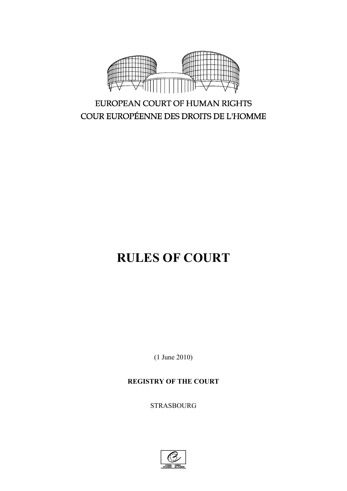

EUROPEAN COURT OF HUMAN RIGHTS COUR EUROPÉENNE DES DROITS DE L'HOMME

# **RULES OF COURT**

(1 June 2010)

# **REGISTRY OF THE COURT**

STRASBOURG

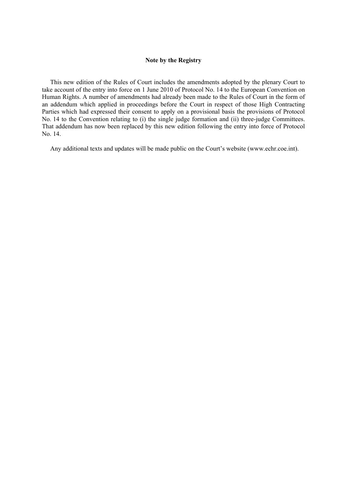#### **Note by the Registry**

This new edition of the Rules of Court includes the amendments adopted by the plenary Court to take account of the entry into force on 1 June 2010 of Protocol No. 14 to the European Convention on Human Rights. A number of amendments had already been made to the Rules of Court in the form of an addendum which applied in proceedings before the Court in respect of those High Contracting Parties which had expressed their consent to apply on a provisional basis the provisions of Protocol No. 14 to the Convention relating to (i) the single judge formation and (ii) three-judge Committees. That addendum has now been replaced by this new edition following the entry into force of Protocol No. 14.

Any additional texts and updates will be made public on the Court's website (www.echr.coe.int).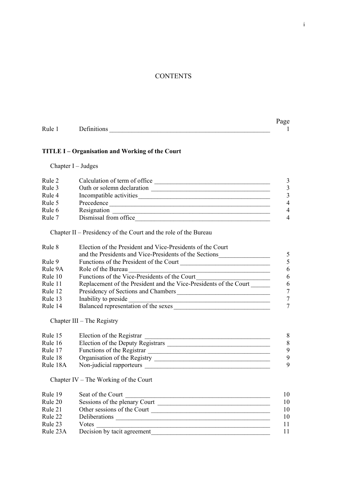### **CONTENTS**

|        |             | Page |
|--------|-------------|------|
| Rule 1 | Definitions |      |

### **TITLE I – Organisation and Working of the Court**

Chapter I – Judges

| Rule 2 | Calculation of term of office | 3              |
|--------|-------------------------------|----------------|
| Rule 3 | Oath or solemn declaration    |                |
| Rule 4 | Incompatible activities       | 3              |
| Rule 5 | Precedence                    | $\overline{4}$ |
| Rule 6 | Resignation                   | $\overline{4}$ |
| Rule 7 | Dismissal from office         | $\overline{4}$ |

Chapter II – Presidency of the Court and the role of the Bureau

| Rule 8  | Election of the President and Vice-Presidents of the Court        |   |  |
|---------|-------------------------------------------------------------------|---|--|
|         | and the Presidents and Vice-Presidents of the Sections            | 5 |  |
| Rule 9  | Functions of the President of the Court                           | 5 |  |
| Rule 9A | Role of the Bureau                                                | 6 |  |
| Rule 10 | Functions of the Vice-Presidents of the Court                     | 6 |  |
| Rule 11 | Replacement of the President and the Vice-Presidents of the Court | 6 |  |
| Rule 12 | Presidency of Sections and Chambers                               |   |  |
| Rule 13 | Inability to preside                                              |   |  |
| Rule 14 | Balanced representation of the sexes                              |   |  |

Chapter III – The Registry

| Rule 15  | Election of the Registrar         | 8 |
|----------|-----------------------------------|---|
| Rule 16  | Election of the Deputy Registrars | 8 |
| Rule 17  | Functions of the Registrar        | 9 |
| Rule 18  | Organisation of the Registry      | Q |
| Rule 18A | Non-judicial rapporteurs          | 9 |

Chapter IV – The Working of the Court

| Rule 19  | Seat of the Court             | 10 |
|----------|-------------------------------|----|
| Rule 20  | Sessions of the plenary Court | 10 |
| Rule 21  | Other sessions of the Court   | 10 |
| Rule 22  | Deliberations                 | 10 |
| Rule 23  | Votes                         | 11 |
| Rule 23A | Decision by tacit agreement   | 11 |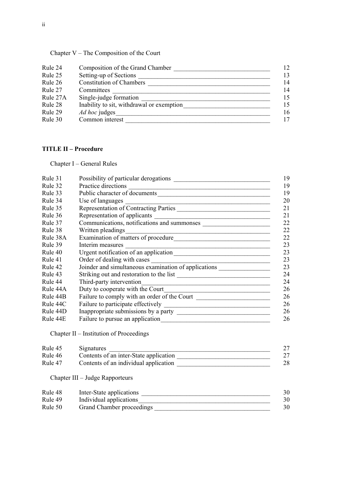| Chapter $V$ – The Composition of the Court |  |  |  |
|--------------------------------------------|--|--|--|
|                                            |  |  |  |

| Rule 24            | Composition of the Grand Chamber          | 12 |
|--------------------|-------------------------------------------|----|
| Rule 25            | Setting-up of Sections                    | 13 |
| Rule 26            | <b>Constitution of Chambers</b>           | 14 |
| Rule 27            | Committees                                | 14 |
| Rule 27A           | Single-judge formation                    | 15 |
| Rule 28            | Inability to sit, withdrawal or exemption | 15 |
|                    | <i>Ad hoc</i> judges                      | 16 |
|                    | Common interest                           | 17 |
| Rule 29<br>Rule 30 |                                           |    |

# **TITLE II – Procedure**

Chapter I – General Rules

| Practice directions<br>19<br>Rule 32<br>Rule 33<br>19<br>Rule 34<br>Use of languages<br>Representation of Contracting Parties<br>21<br>Rule 35<br>Representation of applicants<br>Rule 36<br>21<br>Communications, notifications and summonses<br>Rule 37<br>Written pleadings<br>Rule 38<br>Rule 38A<br>23<br>Rule 39<br>Interim measures<br>23<br>Rule 40<br>Order of dealing with cases<br>23<br>Rule 41<br>Joinder and simultaneous examination of applications<br>Rule 42<br>Rule 43<br>Striking out and restoration to the list<br>Third-party intervention<br>Rule 44<br>Duty to cooperate with the Court<br>Rule 44A<br>Failure to comply with an order of the Court<br>Rule 44B<br>Failure to participate effectively<br>Rule 44C<br>Inappropriate submissions by a party<br>Rule 44D<br>Failure to pursue an application<br>Rule 44E | Rule 31 | Possibility of particular derogations | 19 |
|------------------------------------------------------------------------------------------------------------------------------------------------------------------------------------------------------------------------------------------------------------------------------------------------------------------------------------------------------------------------------------------------------------------------------------------------------------------------------------------------------------------------------------------------------------------------------------------------------------------------------------------------------------------------------------------------------------------------------------------------------------------------------------------------------------------------------------------------|---------|---------------------------------------|----|
|                                                                                                                                                                                                                                                                                                                                                                                                                                                                                                                                                                                                                                                                                                                                                                                                                                                |         |                                       |    |
|                                                                                                                                                                                                                                                                                                                                                                                                                                                                                                                                                                                                                                                                                                                                                                                                                                                |         |                                       |    |
|                                                                                                                                                                                                                                                                                                                                                                                                                                                                                                                                                                                                                                                                                                                                                                                                                                                |         |                                       | 20 |
|                                                                                                                                                                                                                                                                                                                                                                                                                                                                                                                                                                                                                                                                                                                                                                                                                                                |         |                                       |    |
|                                                                                                                                                                                                                                                                                                                                                                                                                                                                                                                                                                                                                                                                                                                                                                                                                                                |         |                                       |    |
|                                                                                                                                                                                                                                                                                                                                                                                                                                                                                                                                                                                                                                                                                                                                                                                                                                                |         |                                       | 22 |
|                                                                                                                                                                                                                                                                                                                                                                                                                                                                                                                                                                                                                                                                                                                                                                                                                                                |         |                                       | 22 |
|                                                                                                                                                                                                                                                                                                                                                                                                                                                                                                                                                                                                                                                                                                                                                                                                                                                |         |                                       | 22 |
|                                                                                                                                                                                                                                                                                                                                                                                                                                                                                                                                                                                                                                                                                                                                                                                                                                                |         |                                       |    |
|                                                                                                                                                                                                                                                                                                                                                                                                                                                                                                                                                                                                                                                                                                                                                                                                                                                |         |                                       |    |
|                                                                                                                                                                                                                                                                                                                                                                                                                                                                                                                                                                                                                                                                                                                                                                                                                                                |         |                                       |    |
|                                                                                                                                                                                                                                                                                                                                                                                                                                                                                                                                                                                                                                                                                                                                                                                                                                                |         |                                       | 23 |
|                                                                                                                                                                                                                                                                                                                                                                                                                                                                                                                                                                                                                                                                                                                                                                                                                                                |         |                                       | 24 |
|                                                                                                                                                                                                                                                                                                                                                                                                                                                                                                                                                                                                                                                                                                                                                                                                                                                |         |                                       | 24 |
|                                                                                                                                                                                                                                                                                                                                                                                                                                                                                                                                                                                                                                                                                                                                                                                                                                                |         |                                       | 26 |
|                                                                                                                                                                                                                                                                                                                                                                                                                                                                                                                                                                                                                                                                                                                                                                                                                                                |         |                                       | 26 |
|                                                                                                                                                                                                                                                                                                                                                                                                                                                                                                                                                                                                                                                                                                                                                                                                                                                |         |                                       | 26 |
|                                                                                                                                                                                                                                                                                                                                                                                                                                                                                                                                                                                                                                                                                                                                                                                                                                                |         |                                       | 26 |
|                                                                                                                                                                                                                                                                                                                                                                                                                                                                                                                                                                                                                                                                                                                                                                                                                                                |         |                                       | 26 |

Chapter II – Institution of Proceedings

| Rule 45 | Signatures                             |     |
|---------|----------------------------------------|-----|
| Rule 46 | Contents of an inter-State application |     |
| Rule 47 | Contents of an individual application  | 28. |

Chapter III – Judge Rapporteurs

| Rule 48 | Inter-State applications  |  |
|---------|---------------------------|--|
| Rule 49 | Individual applications   |  |
| Rule 50 | Grand Chamber proceedings |  |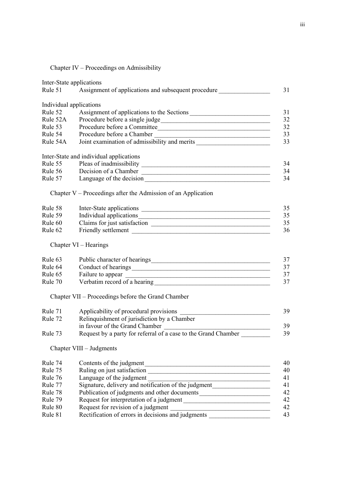Chapter IV – Proceedings on Admissibility

| Inter-State applications |                                                                                                                                                                                                                                      |
|--------------------------|--------------------------------------------------------------------------------------------------------------------------------------------------------------------------------------------------------------------------------------|
| Rule 51                  | Assignment of applications and subsequent procedure<br>31                                                                                                                                                                            |
| Individual applications  |                                                                                                                                                                                                                                      |
| Rule 52                  | 31                                                                                                                                                                                                                                   |
| Rule 52A                 | 32<br>Procedure before a single judge                                                                                                                                                                                                |
| Rule 53                  | 32                                                                                                                                                                                                                                   |
| Rule 54                  | Procedure before a Committee<br>Procedure before a Chamber<br>33                                                                                                                                                                     |
| Rule 54A                 | Procedure before a Chamber<br>Joint examination of admissibility and merits<br>33                                                                                                                                                    |
|                          |                                                                                                                                                                                                                                      |
|                          | Inter-State and individual applications                                                                                                                                                                                              |
| Rule 55                  | 34                                                                                                                                                                                                                                   |
| Rule 56                  | 34                                                                                                                                                                                                                                   |
| Rule 57                  | 34<br>Language of the decision                                                                                                                                                                                                       |
|                          | Chapter $V$ – Proceedings after the Admission of an Application                                                                                                                                                                      |
| Rule 58                  | 35                                                                                                                                                                                                                                   |
| Rule 59                  | 35                                                                                                                                                                                                                                   |
| Rule 60                  | 35                                                                                                                                                                                                                                   |
| Rule 62                  | 36                                                                                                                                                                                                                                   |
|                          |                                                                                                                                                                                                                                      |
|                          | Chapter VI – Hearings                                                                                                                                                                                                                |
| Rule 63                  | 37                                                                                                                                                                                                                                   |
| Rule 64                  | 37                                                                                                                                                                                                                                   |
| Rule 65                  | Failure to appear expression and the state of the state of the state of the state of the state of the state of the state of the state of the state of the state of the state of the state of the state of the state of the sta<br>37 |
| Rule 70                  | 37                                                                                                                                                                                                                                   |
|                          | Chapter VII – Proceedings before the Grand Chamber                                                                                                                                                                                   |
| Rule 71                  | 39                                                                                                                                                                                                                                   |
| Rule 72                  | Relinquishment of jurisdiction by a Chamber                                                                                                                                                                                          |
|                          | in favour of the Grand Chamber<br>39                                                                                                                                                                                                 |
| Rule 73                  | Request by a party for referral of a case to the Grand Chamber<br>39                                                                                                                                                                 |
|                          | Chapter VIII - Judgments                                                                                                                                                                                                             |
| Rule 74                  | 40                                                                                                                                                                                                                                   |
| Rule 75                  | 40                                                                                                                                                                                                                                   |
| Rule 76                  | 41                                                                                                                                                                                                                                   |
| Rule 77                  | Language of the judgment<br>Signature, delivery and notification of the judgment<br>41                                                                                                                                               |
| Rule 78                  | Publication of judgments and other documents<br>42                                                                                                                                                                                   |
| Rule 79                  | 42                                                                                                                                                                                                                                   |
| Rule 80                  | 42                                                                                                                                                                                                                                   |
| Rule 81                  | Request for revision of a judgment<br>Rectification of errors in decisions and judgments<br>43                                                                                                                                       |
|                          |                                                                                                                                                                                                                                      |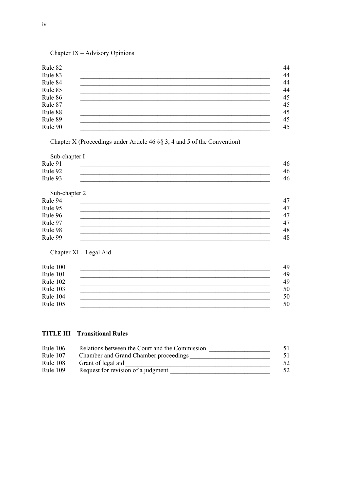### Chapter IX - Advisory Opinions

| Rule 82 |  |
|---------|--|
| Rule 83 |  |
| Rule 84 |  |
| Rule 85 |  |
| Rule 86 |  |
| Rule 87 |  |
| Rule 88 |  |
| Rule 89 |  |
| Rule 90 |  |
|         |  |

Chapter X (Proceedings under Article 46 §§ 3, 4 and 5 of the Convention)

| Sub-chapter I |    |
|---------------|----|
| Rule 91       | 46 |
| Rule 92       | 46 |
| Rule 93       | 46 |

| Sub-chapter 2 |  |
|---------------|--|
| Rule 94       |  |
| Rule 95       |  |
| Rule 96       |  |
| Rule 97       |  |
| Rule 98       |  |
| Rule 99       |  |

Chapter XI - Legal Aid

| Rule 100 |  |
|----------|--|
| Rule 101 |  |
| Rule 102 |  |
| Rule 103 |  |
| Rule 104 |  |
| Rule 105 |  |

### **TITLE III - Transitional Rules**

| Rule $106$<br>Relations between the Court and the Commission |    |
|--------------------------------------------------------------|----|
| <b>Rule 107</b><br>Chamber and Grand Chamber proceedings     |    |
| Rule 108<br>Grant of legal aid                               | 52 |
| Request for revision of a judgment<br>Rule 109               | 52 |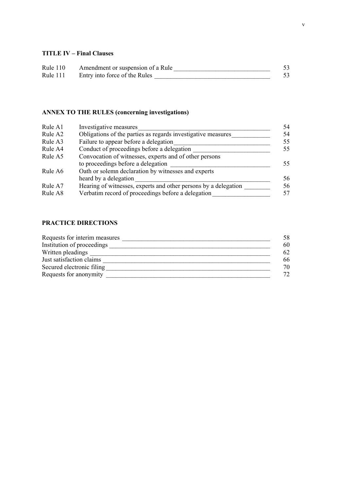### **TITLE IV – Final Clauses**

| Rule $110$ | Amendment or suspension of a Rule |  |
|------------|-----------------------------------|--|
| Rule 111   | Entry into force of the Rules     |  |

# **ANNEX TO THE RULES (concerning investigations)**

| Rule A1             | Investigative measures<br>54                                          |
|---------------------|-----------------------------------------------------------------------|
| Rule A <sub>2</sub> | Obligations of the parties as regards investigative measures<br>54    |
| Rule A3             | Failure to appear before a delegation<br>55                           |
| Rule A4             | Conduct of proceedings before a delegation<br>55                      |
| Rule A5             | Convocation of witnesses, experts and of other persons                |
|                     | to proceedings before a delegation<br>55                              |
| Rule A6             | Oath or solemn declaration by witnesses and experts                   |
|                     | 56<br>heard by a delegation                                           |
| Rule A7             | Hearing of witnesses, experts and other persons by a delegation<br>56 |
| Rule A8             | Verbatim record of proceedings before a delegation<br>57              |

# **PRACTICE DIRECTIONS**

| Requests for interim measures | 58 |
|-------------------------------|----|
| Institution of proceedings    | 60 |
| Written pleadings             | 62 |
| Just satisfaction claims      | 66 |
| Secured electronic filing     | 70 |
| Requests for anonymity        | 72 |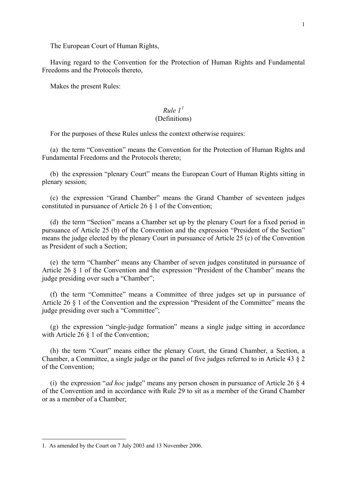The European Court of Human Rights,

Having regard to the Convention for the Protection of Human Rights and Fundamental Freedoms and the Protocols thereto,

Makes the present Rules:

### $Rule I<sup>1</sup>$  $Rule I<sup>1</sup>$  $Rule I<sup>1</sup>$ (Definitions)

<span id="page-10-0"></span>For the purposes of these Rules unless the context otherwise requires:

<span id="page-10-1"></span>(a) the term "Convention" means the Convention for the Protection of Human Rights and Fundamental Freedoms and the Protocols thereto;

(b) the expression "plenary Court" means the European Court of Human Rights sitting in plenary session;

(c) the expression "Grand Chamber" means the Grand Chamber of seventeen judges constituted in pursuance of Article 26 § 1 of the Convention;

(d) the term "Section" means a Chamber set up by the plenary Court for a fixed period in pursuance of Article 25 (b) of the Convention and the expression "President of the Section" means the judge elected by the plenary Court in pursuance of Article 25 (c) of the Convention as President of such a Section;

(e) the term "Chamber" means any Chamber of seven judges constituted in pursuance of Article 26 § 1 of the Convention and the expression "President of the Chamber" means the judge presiding over such a "Chamber";

(f) the term "Committee" means a Committee of three judges set up in pursuance of Article 26 § 1 of the Convention and the expression "President of the Committee" means the judge presiding over such a "Committee";

(g) the expression "single-judge formation" means a single judge sitting in accordance with Article 26  $\S$  1 of the Convention;

(h) the term "Court" means either the plenary Court, the Grand Chamber, a Section, a Chamber, a Committee, a single judge or the panel of five judges referred to in Article 43 § 2 of the Convention;

(i) the expression "*ad hoc* judge" means any person chosen in pursuance of Article 26 § 4 of the Convention and in accordance with Rule 29 to sit as a member of the Grand Chamber or as a member of a Chamber;

<span id="page-10-2"></span><sup>1.</sup> As amended by the Court on 7 July 2003 and 13 November 2006.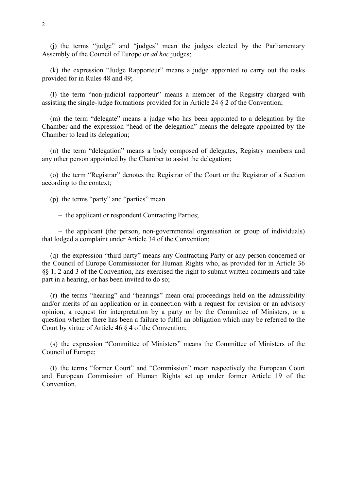(j) the terms "judge" and "judges" mean the judges elected by the Parliamentary Assembly of the Council of Europe or *ad hoc* judges;

(k) the expression "Judge Rapporteur" means a judge appointed to carry out the tasks provided for in Rules 48 and 49;

(l) the term "non-judicial rapporteur" means a member of the Registry charged with assisting the single-judge formations provided for in Article 24 § 2 of the Convention;

(m) the term "delegate" means a judge who has been appointed to a delegation by the Chamber and the expression "head of the delegation" means the delegate appointed by the Chamber to lead its delegation;

(n) the term "delegation" means a body composed of delegates, Registry members and any other person appointed by the Chamber to assist the delegation;

(o) the term "Registrar" denotes the Registrar of the Court or the Registrar of a Section according to the context;

(p) the terms "party" and "parties" mean

– the applicant or respondent Contracting Parties;

– the applicant (the person, non-governmental organisation or group of individuals) that lodged a complaint under Article 34 of the Convention;

(q) the expression "third party" means any Contracting Party or any person concerned or the Council of Europe Commissioner for Human Rights who, as provided for in Article 36 §§ 1, 2 and 3 of the Convention, has exercised the right to submit written comments and take part in a hearing, or has been invited to do so;

(r) the terms "hearing" and "hearings" mean oral proceedings held on the admissibility and/or merits of an application or in connection with a request for revision or an advisory opinion, a request for interpretation by a party or by the Committee of Ministers, or a question whether there has been a failure to fulfil an obligation which may be referred to the Court by virtue of Article 46 § 4 of the Convention;

(s) the expression "Committee of Ministers" means the Committee of Ministers of the Council of Europe;

(t) the terms "former Court" and "Commission" mean respectively the European Court and European Commission of Human Rights set up under former Article 19 of the Convention.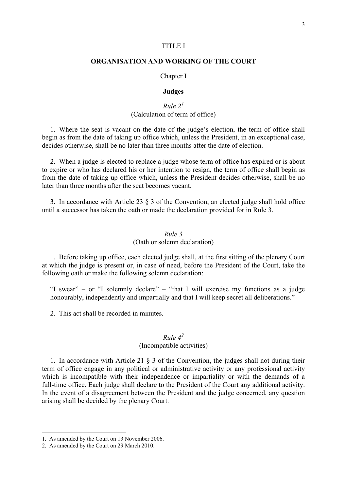#### TITLE I

### **ORGANISATION AND WORKING OF THE COURT**

#### Chapter I

#### **Judges**

### $Rule 2<sup>1</sup>$  $Rule 2<sup>1</sup>$  $Rule 2<sup>1</sup>$

### (Calculation of term of office)

<span id="page-12-1"></span><span id="page-12-0"></span>1. Where the seat is vacant on the date of the judge's election, the term of office shall begin as from the date of taking up office which, unless the President, in an exceptional case, decides otherwise, shall be no later than three months after the date of election.

2. When a judge is elected to replace a judge whose term of office has expired or is about to expire or who has declared his or her intention to resign, the term of office shall begin as from the date of taking up office which, unless the President decides otherwise, shall be no later than three months after the seat becomes vacant.

3. In accordance with Article 23 § 3 of the Convention, an elected judge shall hold office until a successor has taken the oath or made the declaration provided for in Rule 3.

#### *Rule 3*

### (Oath or solemn declaration)

<span id="page-12-3"></span><span id="page-12-2"></span>1. Before taking up office, each elected judge shall, at the first sitting of the plenary Court at which the judge is present or, in case of need, before the President of the Court, take the following oath or make the following solemn declaration:

"I swear" – or "I solemnly declare" – "that I will exercise my functions as a judge honourably, independently and impartially and that I will keep secret all deliberations."

2. This act shall be recorded in minutes.

### $Rule 4<sup>2</sup>$  $Rule 4<sup>2</sup>$  $Rule 4<sup>2</sup>$

#### (Incompatible activities)

<span id="page-12-5"></span><span id="page-12-4"></span>1. In accordance with Article 21  $\S$  3 of the Convention, the judges shall not during their term of office engage in any political or administrative activity or any professional activity which is incompatible with their independence or impartiality or with the demands of a full-time office. Each judge shall declare to the President of the Court any additional activity. In the event of a disagreement between the President and the judge concerned, any question arising shall be decided by the plenary Court.

<span id="page-12-6"></span><sup>1.</sup> As amended by the Court on 13 November 2006.

<span id="page-12-7"></span><sup>2.</sup> As amended by the Court on 29 March 2010.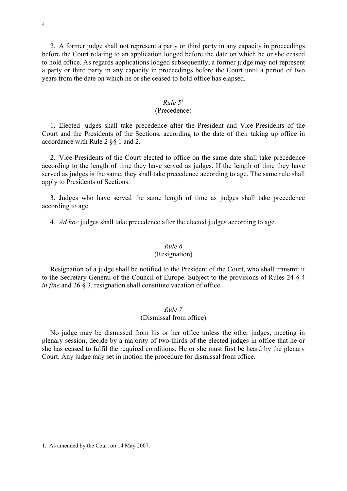2. A former judge shall not represent a party or third party in any capacity in proceedings before the Court relating to an application lodged before the date on which he or she ceased to hold office. As regards applications lodged subsequently, a former judge may not represent a party or third party in any capacity in proceedings before the Court until a period of two years from the date on which he or she ceased to hold office has elapsed.

# *Rule 5[1](#page-13-6)*

### (Precedence)

<span id="page-13-1"></span><span id="page-13-0"></span>1. Elected judges shall take precedence after the President and Vice-Presidents of the Court and the Presidents of the Sections, according to the date of their taking up office in accordance with Rule 2 §§ 1 and 2.

2. Vice-Presidents of the Court elected to office on the same date shall take precedence according to the length of time they have served as judges. If the length of time they have served as judges is the same, they shall take precedence according to age. The same rule shall apply to Presidents of Sections.

3. Judges who have served the same length of time as judges shall take precedence according to age.

4. *Ad hoc* judges shall take precedence after the elected judges according to age.

#### *Rule 6*

### (Resignation)

<span id="page-13-3"></span><span id="page-13-2"></span>Resignation of a judge shall be notified to the President of the Court, who shall transmit it to the Secretary General of the Council of Europe. Subject to the provisions of Rules 24 § 4 *in fine* and 26 § 3, resignation shall constitute vacation of office.

### *Rule 7*

### (Dismissal from office)

<span id="page-13-5"></span><span id="page-13-4"></span>No judge may be dismissed from his or her office unless the other judges, meeting in plenary session, decide by a majority of two-thirds of the elected judges in office that he or she has ceased to fulfil the required conditions. He or she must first be heard by the plenary Court. Any judge may set in motion the procedure for dismissal from office.

<span id="page-13-6"></span><sup>1.</sup> As amended by the Court on 14 May 2007.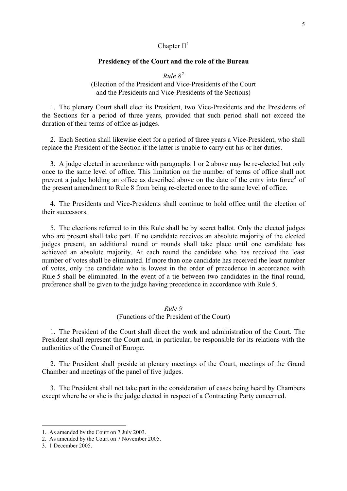### Chapter  $II<sup>1</sup>$  $II<sup>1</sup>$  $II<sup>1</sup>$

#### **Presidency of the Court and the role of the Bureau**

*Rule 8[2](#page-14-5)* (Election of the President and Vice-Presidents of the Court and the Presidents and Vice-Presidents of the Sections)

<span id="page-14-1"></span><span id="page-14-0"></span>1. The plenary Court shall elect its President, two Vice-Presidents and the Presidents of the Sections for a period of three years, provided that such period shall not exceed the duration of their terms of office as judges.

2. Each Section shall likewise elect for a period of three years a Vice-President, who shall replace the President of the Section if the latter is unable to carry out his or her duties.

3. A judge elected in accordance with paragraphs 1 or 2 above may be re-elected but only once to the same level of office. This limitation on the number of terms of office shall not prevent a judge holding an office as described above on the date of the entry into force<sup>[3](#page-14-6)</sup> of the present amendment to Rule 8 from being re-elected once to the same level of office.

4. The Presidents and Vice-Presidents shall continue to hold office until the election of their successors.

5. The elections referred to in this Rule shall be by secret ballot. Only the elected judges who are present shall take part. If no candidate receives an absolute majority of the elected judges present, an additional round or rounds shall take place until one candidate has achieved an absolute majority. At each round the candidate who has received the least number of votes shall be eliminated. If more than one candidate has received the least number of votes, only the candidate who is lowest in the order of precedence in accordance with Rule 5 shall be eliminated. In the event of a tie between two candidates in the final round, preference shall be given to the judge having precedence in accordance with Rule 5.

#### *Rule 9*

### (Functions of the President of the Court)

<span id="page-14-3"></span><span id="page-14-2"></span>1. The President of the Court shall direct the work and administration of the Court. The President shall represent the Court and, in particular, be responsible for its relations with the authorities of the Council of Europe.

2. The President shall preside at plenary meetings of the Court, meetings of the Grand Chamber and meetings of the panel of five judges.

3. The President shall not take part in the consideration of cases being heard by Chambers except where he or she is the judge elected in respect of a Contracting Party concerned.

<span id="page-14-4"></span><sup>1.</sup> As amended by the Court on 7 July 2003.

<span id="page-14-5"></span><sup>2.</sup> As amended by the Court on 7 November 2005.

<span id="page-14-6"></span><sup>3. 1</sup> December 2005.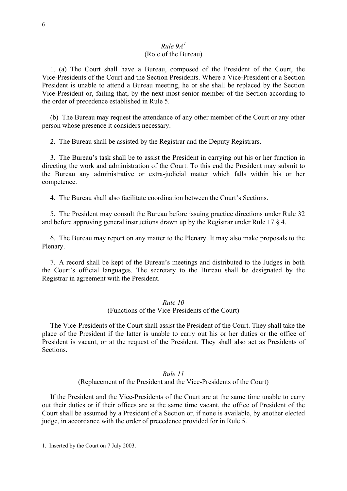### *Rule 9A[1](#page-15-6)* (Role of the Bureau)

<span id="page-15-1"></span><span id="page-15-0"></span>1. (a) The Court shall have a Bureau, composed of the President of the Court, the Vice-Presidents of the Court and the Section Presidents. Where a Vice-President or a Section President is unable to attend a Bureau meeting, he or she shall be replaced by the Section Vice-President or, failing that, by the next most senior member of the Section according to the order of precedence established in Rule 5.

(b) The Bureau may request the attendance of any other member of the Court or any other person whose presence it considers necessary.

2. The Bureau shall be assisted by the Registrar and the Deputy Registrars.

3. The Bureau's task shall be to assist the President in carrying out his or her function in directing the work and administration of the Court. To this end the President may submit to the Bureau any administrative or extra-judicial matter which falls within his or her competence.

4. The Bureau shall also facilitate coordination between the Court's Sections.

5. The President may consult the Bureau before issuing practice directions under Rule 32 and before approving general instructions drawn up by the Registrar under Rule 17 § 4.

6. The Bureau may report on any matter to the Plenary. It may also make proposals to the Plenary.

7. A record shall be kept of the Bureau's meetings and distributed to the Judges in both the Court's official languages. The secretary to the Bureau shall be designated by the Registrar in agreement with the President.

### *Rule 10*

(Functions of the Vice-Presidents of the Court)

<span id="page-15-3"></span><span id="page-15-2"></span>The Vice-Presidents of the Court shall assist the President of the Court. They shall take the place of the President if the latter is unable to carry out his or her duties or the office of President is vacant, or at the request of the President. They shall also act as Presidents of **Sections** 

### *Rule 11*  (Replacement of the President and the Vice-Presidents of the Court)

<span id="page-15-5"></span><span id="page-15-4"></span>If the President and the Vice-Presidents of the Court are at the same time unable to carry out their duties or if their offices are at the same time vacant, the office of President of the Court shall be assumed by a President of a Section or, if none is available, by another elected judge, in accordance with the order of precedence provided for in Rule 5.

<span id="page-15-6"></span><sup>1.</sup> Inserted by the Court on 7 July 2003.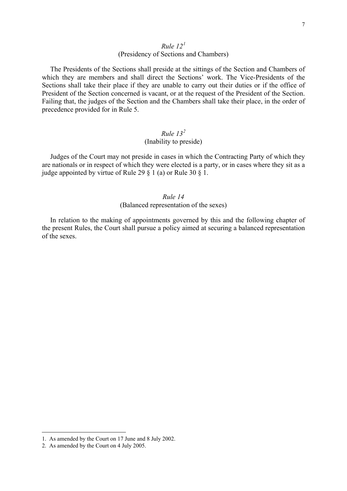# *Rule 12[1](#page-16-6)*

### (Presidency of Sections and Chambers)

<span id="page-16-1"></span><span id="page-16-0"></span>The Presidents of the Sections shall preside at the sittings of the Section and Chambers of which they are members and shall direct the Sections' work. The Vice-Presidents of the Sections shall take their place if they are unable to carry out their duties or if the office of President of the Section concerned is vacant, or at the request of the President of the Section. Failing that, the judges of the Section and the Chambers shall take their place, in the order of precedence provided for in Rule 5.

### *Rule 13[2](#page-16-7)* (Inability to preside)

<span id="page-16-3"></span><span id="page-16-2"></span>Judges of the Court may not preside in cases in which the Contracting Party of which they are nationals or in respect of which they were elected is a party, or in cases where they sit as a judge appointed by virtue of Rule 29  $\S$  1 (a) or Rule 30  $\S$  1.

### *Rule 14*

### (Balanced representation of the sexes)

<span id="page-16-5"></span><span id="page-16-4"></span>In relation to the making of appointments governed by this and the following chapter of the present Rules, the Court shall pursue a policy aimed at securing a balanced representation of the sexes.

<span id="page-16-6"></span><sup>1.</sup> As amended by the Court on 17 June and 8 July 2002.

<span id="page-16-7"></span><sup>2.</sup> As amended by the Court on 4 July 2005.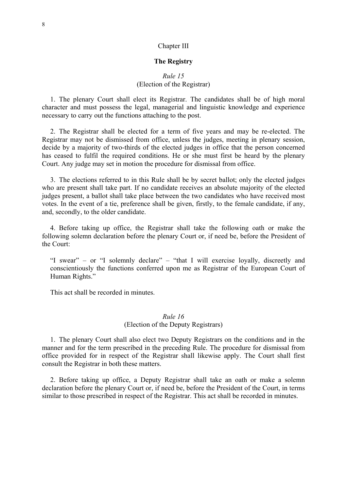#### Chapter III

### **The Registry**

#### *Rule 15*  (Election of the Registrar)

<span id="page-17-1"></span><span id="page-17-0"></span>1. The plenary Court shall elect its Registrar. The candidates shall be of high moral character and must possess the legal, managerial and linguistic knowledge and experience necessary to carry out the functions attaching to the post.

2. The Registrar shall be elected for a term of five years and may be re-elected. The Registrar may not be dismissed from office, unless the judges, meeting in plenary session, decide by a majority of two-thirds of the elected judges in office that the person concerned has ceased to fulfil the required conditions. He or she must first be heard by the plenary Court. Any judge may set in motion the procedure for dismissal from office.

3. The elections referred to in this Rule shall be by secret ballot; only the elected judges who are present shall take part. If no candidate receives an absolute majority of the elected judges present, a ballot shall take place between the two candidates who have received most votes. In the event of a tie, preference shall be given, firstly, to the female candidate, if any, and, secondly, to the older candidate.

4. Before taking up office, the Registrar shall take the following oath or make the following solemn declaration before the plenary Court or, if need be, before the President of the Court:

"I swear" – or "I solemnly declare" – "that I will exercise loyally, discreetly and conscientiously the functions conferred upon me as Registrar of the European Court of Human Rights."

This act shall be recorded in minutes.

# *Rule 16*

### (Election of the Deputy Registrars)

<span id="page-17-3"></span><span id="page-17-2"></span>1. The plenary Court shall also elect two Deputy Registrars on the conditions and in the manner and for the term prescribed in the preceding Rule. The procedure for dismissal from office provided for in respect of the Registrar shall likewise apply. The Court shall first consult the Registrar in both these matters.

2. Before taking up office, a Deputy Registrar shall take an oath or make a solemn declaration before the plenary Court or, if need be, before the President of the Court, in terms similar to those prescribed in respect of the Registrar. This act shall be recorded in minutes.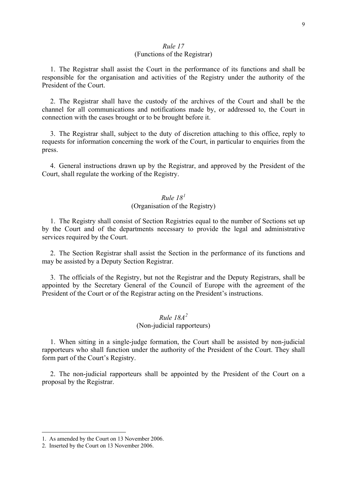#### *Rule 17*  (Functions of the Registrar)

<span id="page-18-1"></span><span id="page-18-0"></span>1. The Registrar shall assist the Court in the performance of its functions and shall be responsible for the organisation and activities of the Registry under the authority of the President of the Court.

2. The Registrar shall have the custody of the archives of the Court and shall be the channel for all communications and notifications made by, or addressed to, the Court in connection with the cases brought or to be brought before it.

3. The Registrar shall, subject to the duty of discretion attaching to this office, reply to requests for information concerning the work of the Court, in particular to enquiries from the press.

4. General instructions drawn up by the Registrar, and approved by the President of the Court, shall regulate the working of the Registry.

### *Rule 18[1](#page-18-6)* (Organisation of the Registry)

<span id="page-18-3"></span><span id="page-18-2"></span>1. The Registry shall consist of Section Registries equal to the number of Sections set up by the Court and of the departments necessary to provide the legal and administrative services required by the Court.

2. The Section Registrar shall assist the Section in the performance of its functions and may be assisted by a Deputy Section Registrar.

3. The officials of the Registry, but not the Registrar and the Deputy Registrars, shall be appointed by the Secretary General of the Council of Europe with the agreement of the President of the Court or of the Registrar acting on the President's instructions.

### *Rule 18A[2](#page-18-7)* (Non-judicial rapporteurs)

<span id="page-18-5"></span><span id="page-18-4"></span>1. When sitting in a single-judge formation, the Court shall be assisted by non-judicial rapporteurs who shall function under the authority of the President of the Court. They shall form part of the Court's Registry.

2. The non-judicial rapporteurs shall be appointed by the President of the Court on a proposal by the Registrar.

<span id="page-18-6"></span><sup>1.</sup> As amended by the Court on 13 November 2006.

<span id="page-18-7"></span><sup>2.</sup> Inserted by the Court on 13 November 2006.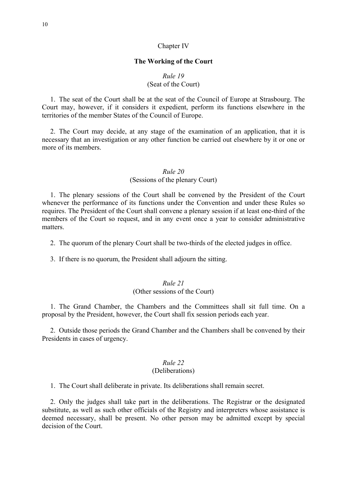#### **The Working of the Court**

### *Rule 19*  (Seat of the Court)

<span id="page-19-1"></span><span id="page-19-0"></span>1. The seat of the Court shall be at the seat of the Council of Europe at Strasbourg. The Court may, however, if it considers it expedient, perform its functions elsewhere in the territories of the member States of the Council of Europe.

2. The Court may decide, at any stage of the examination of an application, that it is necessary that an investigation or any other function be carried out elsewhere by it or one or more of its members.

#### *Rule 20*

#### (Sessions of the plenary Court)

<span id="page-19-3"></span><span id="page-19-2"></span>1. The plenary sessions of the Court shall be convened by the President of the Court whenever the performance of its functions under the Convention and under these Rules so requires. The President of the Court shall convene a plenary session if at least one-third of the members of the Court so request, and in any event once a year to consider administrative matters.

2. The quorum of the plenary Court shall be two-thirds of the elected judges in office.

3. If there is no quorum, the President shall adjourn the sitting.

#### *Rule 21*

#### (Other sessions of the Court)

<span id="page-19-5"></span><span id="page-19-4"></span>1. The Grand Chamber, the Chambers and the Committees shall sit full time. On a proposal by the President, however, the Court shall fix session periods each year.

<span id="page-19-6"></span>2. Outside those periods the Grand Chamber and the Chambers shall be convened by their Presidents in cases of urgency.

#### *Rule 22*

#### (Deliberations)

1. The Court shall deliberate in private. Its deliberations shall remain secret.

<span id="page-19-7"></span>2. Only the judges shall take part in the deliberations. The Registrar or the designated substitute, as well as such other officials of the Registry and interpreters whose assistance is deemed necessary, shall be present. No other person may be admitted except by special decision of the Court.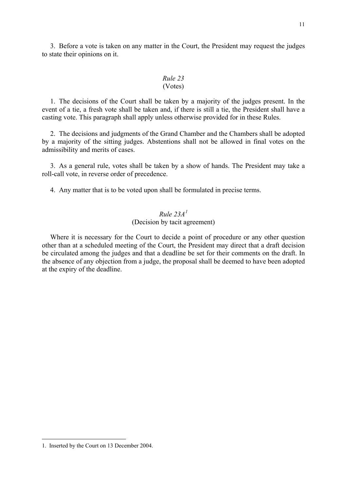3. Before a vote is taken on any matter in the Court, the President may request the judges to state their opinions on it.

#### *Rule 23*  (Votes)

<span id="page-20-1"></span><span id="page-20-0"></span>1. The decisions of the Court shall be taken by a majority of the judges present. In the event of a tie, a fresh vote shall be taken and, if there is still a tie, the President shall have a casting vote. This paragraph shall apply unless otherwise provided for in these Rules.

2. The decisions and judgments of the Grand Chamber and the Chambers shall be adopted by a majority of the sitting judges. Abstentions shall not be allowed in final votes on the admissibility and merits of cases.

3. As a general rule, votes shall be taken by a show of hands. The President may take a roll-call vote, in reverse order of precedence.

4. Any matter that is to be voted upon shall be formulated in precise terms.

### *Rule 23A[1](#page-20-4)* (Decision by tacit agreement)

<span id="page-20-3"></span><span id="page-20-2"></span>Where it is necessary for the Court to decide a point of procedure or any other question other than at a scheduled meeting of the Court, the President may direct that a draft decision be circulated among the judges and that a deadline be set for their comments on the draft. In the absence of any objection from a judge, the proposal shall be deemed to have been adopted at the expiry of the deadline.

<span id="page-20-4"></span><sup>1.</sup> Inserted by the Court on 13 December 2004.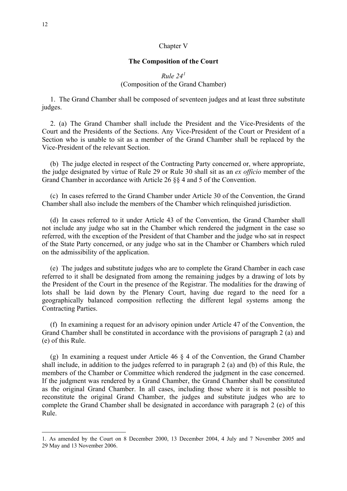#### Chapter V

#### **The Composition of the Court**

### *Rule 24[1](#page-21-2)* (Composition of the Grand Chamber)

<span id="page-21-1"></span><span id="page-21-0"></span>1. The Grand Chamber shall be composed of seventeen judges and at least three substitute judges.

2. (a) The Grand Chamber shall include the President and the Vice-Presidents of the Court and the Presidents of the Sections. Any Vice-President of the Court or President of a Section who is unable to sit as a member of the Grand Chamber shall be replaced by the Vice-President of the relevant Section.

(b) The judge elected in respect of the Contracting Party concerned or, where appropriate, the judge designated by virtue of Rule 29 or Rule 30 shall sit as an *ex officio* member of the Grand Chamber in accordance with Article 26 §§ 4 and 5 of the Convention.

(c) In cases referred to the Grand Chamber under Article 30 of the Convention, the Grand Chamber shall also include the members of the Chamber which relinquished jurisdiction.

(d) In cases referred to it under Article 43 of the Convention, the Grand Chamber shall not include any judge who sat in the Chamber which rendered the judgment in the case so referred, with the exception of the President of that Chamber and the judge who sat in respect of the State Party concerned, or any judge who sat in the Chamber or Chambers which ruled on the admissibility of the application.

(e) The judges and substitute judges who are to complete the Grand Chamber in each case referred to it shall be designated from among the remaining judges by a drawing of lots by the President of the Court in the presence of the Registrar. The modalities for the drawing of lots shall be laid down by the Plenary Court, having due regard to the need for a geographically balanced composition reflecting the different legal systems among the Contracting Parties.

(f) In examining a request for an advisory opinion under Article 47 of the Convention, the Grand Chamber shall be constituted in accordance with the provisions of paragraph 2 (a) and (e) of this Rule.

(g) In examining a request under Article 46 § 4 of the Convention, the Grand Chamber shall include, in addition to the judges referred to in paragraph 2 (a) and (b) of this Rule, the members of the Chamber or Committee which rendered the judgment in the case concerned. If the judgment was rendered by a Grand Chamber, the Grand Chamber shall be constituted as the original Grand Chamber. In all cases, including those where it is not possible to reconstitute the original Grand Chamber, the judges and substitute judges who are to complete the Grand Chamber shall be designated in accordance with paragraph 2 (e) of this Rule.

<span id="page-21-2"></span><sup>1.</sup> As amended by the Court on 8 December 2000, 13 December 2004, 4 July and 7 November 2005 and 29 May and 13 November 2006.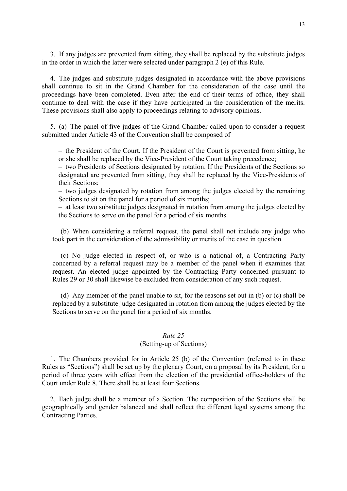3. If any judges are prevented from sitting, they shall be replaced by the substitute judges in the order in which the latter were selected under paragraph 2 (e) of this Rule.

4. The judges and substitute judges designated in accordance with the above provisions shall continue to sit in the Grand Chamber for the consideration of the case until the proceedings have been completed. Even after the end of their terms of office, they shall continue to deal with the case if they have participated in the consideration of the merits. These provisions shall also apply to proceedings relating to advisory opinions.

5. (a) The panel of five judges of the Grand Chamber called upon to consider a request submitted under Article 43 of the Convention shall be composed of

– the President of the Court. If the President of the Court is prevented from sitting, he or she shall be replaced by the Vice-President of the Court taking precedence;

– two Presidents of Sections designated by rotation. If the Presidents of the Sections so designated are prevented from sitting, they shall be replaced by the Vice-Presidents of their Sections;

– two judges designated by rotation from among the judges elected by the remaining Sections to sit on the panel for a period of six months;

– at least two substitute judges designated in rotation from among the judges elected by the Sections to serve on the panel for a period of six months.

(b) When considering a referral request, the panel shall not include any judge who took part in the consideration of the admissibility or merits of the case in question.

(c) No judge elected in respect of, or who is a national of, a Contracting Party concerned by a referral request may be a member of the panel when it examines that request. An elected judge appointed by the Contracting Party concerned pursuant to Rules 29 or 30 shall likewise be excluded from consideration of any such request.

(d) Any member of the panel unable to sit, for the reasons set out in (b) or (c) shall be replaced by a substitute judge designated in rotation from among the judges elected by the Sections to serve on the panel for a period of six months.

#### *Rule 25*

### (Setting-up of Sections)

<span id="page-22-1"></span><span id="page-22-0"></span>1. The Chambers provided for in Article 25 (b) of the Convention (referred to in these Rules as "Sections") shall be set up by the plenary Court, on a proposal by its President, for a period of three years with effect from the election of the presidential office-holders of the Court under Rule 8. There shall be at least four Sections.

2. Each judge shall be a member of a Section. The composition of the Sections shall be geographically and gender balanced and shall reflect the different legal systems among the Contracting Parties.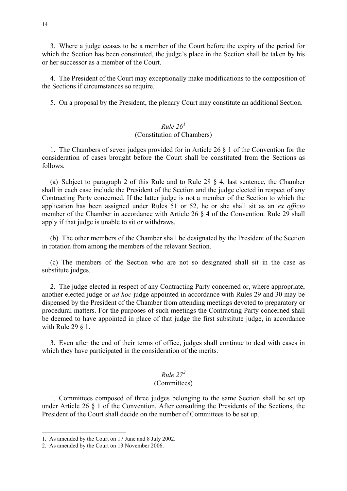3. Where a judge ceases to be a member of the Court before the expiry of the period for which the Section has been constituted, the judge's place in the Section shall be taken by his or her successor as a member of the Court.

4. The President of the Court may exceptionally make modifications to the composition of the Sections if circumstances so require.

5. On a proposal by the President, the plenary Court may constitute an additional Section.

#### $Rule 26<sup>1</sup>$  $Rule 26<sup>1</sup>$  $Rule 26<sup>1</sup>$ (Constitution of Chambers)

<span id="page-23-1"></span><span id="page-23-0"></span>1. The Chambers of seven judges provided for in Article 26 § 1 of the Convention for the consideration of cases brought before the Court shall be constituted from the Sections as follows.

(a) Subject to paragraph 2 of this Rule and to Rule 28 § 4, last sentence, the Chamber shall in each case include the President of the Section and the judge elected in respect of any Contracting Party concerned. If the latter judge is not a member of the Section to which the application has been assigned under Rules 51 or 52, he or she shall sit as an *ex officio* member of the Chamber in accordance with Article 26 § 4 of the Convention. Rule 29 shall apply if that judge is unable to sit or withdraws.

(b) The other members of the Chamber shall be designated by the President of the Section in rotation from among the members of the relevant Section.

(c) The members of the Section who are not so designated shall sit in the case as substitute judges.

2. The judge elected in respect of any Contracting Party concerned or, where appropriate, another elected judge or *ad hoc* judge appointed in accordance with Rules 29 and 30 may be dispensed by the President of the Chamber from attending meetings devoted to preparatory or procedural matters. For the purposes of such meetings the Contracting Party concerned shall be deemed to have appointed in place of that judge the first substitute judge, in accordance with Rule 29  $\S$  1.

3. Even after the end of their terms of office, judges shall continue to deal with cases in which they have participated in the consideration of the merits.

### *Rule 27[2](#page-23-5)*

#### (Committees)

<span id="page-23-3"></span><span id="page-23-2"></span>1. Committees composed of three judges belonging to the same Section shall be set up under Article 26 § 1 of the Convention. After consulting the Presidents of the Sections, the President of the Court shall decide on the number of Committees to be set up.

<span id="page-23-4"></span><sup>1.</sup> As amended by the Court on 17 June and 8 July 2002.

<span id="page-23-5"></span><sup>2.</sup> As amended by the Court on 13 November 2006.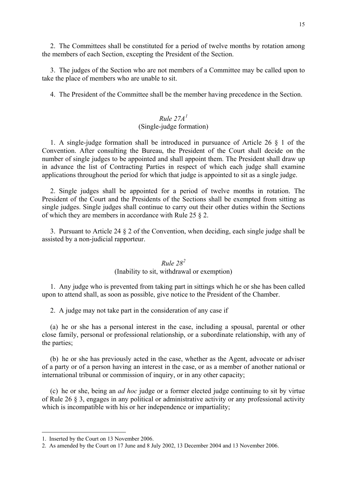2. The Committees shall be constituted for a period of twelve months by rotation among the members of each Section, excepting the President of the Section.

3. The judges of the Section who are not members of a Committee may be called upon to take the place of members who are unable to sit.

4. The President of the Committee shall be the member having precedence in the Section.

### *Rule 27A[1](#page-24-4)* (Single-judge formation)

<span id="page-24-1"></span><span id="page-24-0"></span>1. A single-judge formation shall be introduced in pursuance of Article 26 § 1 of the Convention. After consulting the Bureau, the President of the Court shall decide on the number of single judges to be appointed and shall appoint them. The President shall draw up in advance the list of Contracting Parties in respect of which each judge shall examine applications throughout the period for which that judge is appointed to sit as a single judge.

2. Single judges shall be appointed for a period of twelve months in rotation. The President of the Court and the Presidents of the Sections shall be exempted from sitting as single judges. Single judges shall continue to carry out their other duties within the Sections of which they are members in accordance with Rule 25 § 2.

3. Pursuant to Article 24 § 2 of the Convention, when deciding, each single judge shall be assisted by a non-judicial rapporteur.

### *Rule 28[2](#page-24-5)*

#### (Inability to sit, withdrawal or exemption)

<span id="page-24-3"></span><span id="page-24-2"></span>1. Any judge who is prevented from taking part in sittings which he or she has been called upon to attend shall, as soon as possible, give notice to the President of the Chamber.

2. A judge may not take part in the consideration of any case if

(a) he or she has a personal interest in the case, including a spousal, parental or other close family, personal or professional relationship, or a subordinate relationship, with any of the parties;

(b) he or she has previously acted in the case, whether as the Agent, advocate or adviser of a party or of a person having an interest in the case, or as a member of another national or international tribunal or commission of inquiry, or in any other capacity;

(c) he or she, being an *ad hoc* judge or a former elected judge continuing to sit by virtue of Rule 26 § 3, engages in any political or administrative activity or any professional activity which is incompatible with his or her independence or impartiality;

<span id="page-24-4"></span><sup>1.</sup> Inserted by the Court on 13 November 2006.

<span id="page-24-5"></span><sup>2.</sup> As amended by the Court on 17 June and 8 July 2002, 13 December 2004 and 13 November 2006.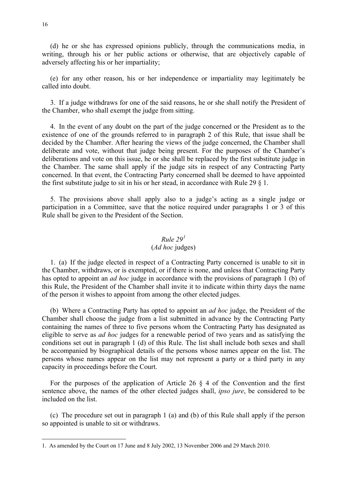(d) he or she has expressed opinions publicly, through the communications media, in writing, through his or her public actions or otherwise, that are objectively capable of adversely affecting his or her impartiality;

(e) for any other reason, his or her independence or impartiality may legitimately be called into doubt.

3. If a judge withdraws for one of the said reasons, he or she shall notify the President of the Chamber, who shall exempt the judge from sitting.

4. In the event of any doubt on the part of the judge concerned or the President as to the existence of one of the grounds referred to in paragraph 2 of this Rule, that issue shall be decided by the Chamber. After hearing the views of the judge concerned, the Chamber shall deliberate and vote, without that judge being present. For the purposes of the Chamber's deliberations and vote on this issue, he or she shall be replaced by the first substitute judge in the Chamber. The same shall apply if the judge sits in respect of any Contracting Party concerned. In that event, the Contracting Party concerned shall be deemed to have appointed the first substitute judge to sit in his or her stead, in accordance with Rule 29 § 1.

5. The provisions above shall apply also to a judge's acting as a single judge or participation in a Committee, save that the notice required under paragraphs 1 or 3 of this Rule shall be given to the President of the Section.

### *Rule 29[1](#page-25-2)*

### (*Ad hoc* judges)

<span id="page-25-1"></span><span id="page-25-0"></span>1. (a) If the judge elected in respect of a Contracting Party concerned is unable to sit in the Chamber, withdraws, or is exempted, or if there is none, and unless that Contracting Party has opted to appoint an *ad hoc* judge in accordance with the provisions of paragraph 1 (b) of this Rule, the President of the Chamber shall invite it to indicate within thirty days the name of the person it wishes to appoint from among the other elected judges.

(b) Where a Contracting Party has opted to appoint an *ad hoc* judge, the President of the Chamber shall choose the judge from a list submitted in advance by the Contracting Party containing the names of three to five persons whom the Contracting Party has designated as eligible to serve as *ad hoc* judges for a renewable period of two years and as satisfying the conditions set out in paragraph 1 (d) of this Rule. The list shall include both sexes and shall be accompanied by biographical details of the persons whose names appear on the list. The persons whose names appear on the list may not represent a party or a third party in any capacity in proceedings before the Court.

For the purposes of the application of Article 26  $\S$  4 of the Convention and the first sentence above, the names of the other elected judges shall, *ipso jure*, be considered to be included on the list.

(c) The procedure set out in paragraph 1 (a) and (b) of this Rule shall apply if the person so appointed is unable to sit or withdraws.

<span id="page-25-2"></span><sup>1.</sup> As amended by the Court on 17 June and 8 July 2002, 13 November 2006 and 29 March 2010.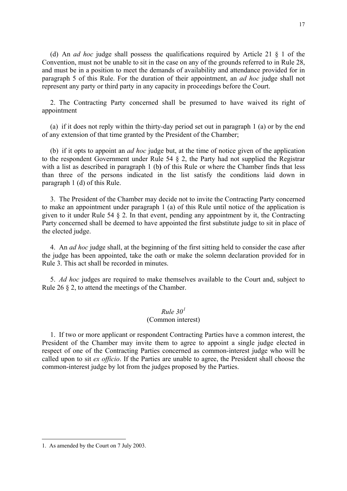(d) An *ad hoc* judge shall possess the qualifications required by Article 21 § 1 of the Convention, must not be unable to sit in the case on any of the grounds referred to in Rule 28, and must be in a position to meet the demands of availability and attendance provided for in paragraph 5 of this Rule. For the duration of their appointment, an *ad hoc* judge shall not represent any party or third party in any capacity in proceedings before the Court.

2. The Contracting Party concerned shall be presumed to have waived its right of appointment

(a) if it does not reply within the thirty-day period set out in paragraph 1 (a) or by the end of any extension of that time granted by the President of the Chamber;

(b) if it opts to appoint an *ad hoc* judge but, at the time of notice given of the application to the respondent Government under Rule 54 § 2, the Party had not supplied the Registrar with a list as described in paragraph 1 (b**)** of this Rule or where the Chamber finds that less than three of the persons indicated in the list satisfy the conditions laid down in paragraph 1 (d) of this Rule.

3. The President of the Chamber may decide not to invite the Contracting Party concerned to make an appointment under paragraph 1 (a) of this Rule until notice of the application is given to it under Rule 54 § 2. In that event, pending any appointment by it, the Contracting Party concerned shall be deemed to have appointed the first substitute judge to sit in place of the elected judge.

4. An *ad hoc* judge shall, at the beginning of the first sitting held to consider the case after the judge has been appointed, take the oath or make the solemn declaration provided for in Rule 3. This act shall be recorded in minutes.

5. *Ad hoc* judges are required to make themselves available to the Court and, subject to Rule 26 § 2, to attend the meetings of the Chamber.

# *Rule 30[1](#page-26-2)*

### (Common interest)

<span id="page-26-1"></span><span id="page-26-0"></span>1. If two or more applicant or respondent Contracting Parties have a common interest, the President of the Chamber may invite them to agree to appoint a single judge elected in respect of one of the Contracting Parties concerned as common-interest judge who will be called upon to sit *ex officio*. If the Parties are unable to agree, the President shall choose the common-interest judge by lot from the judges proposed by the Parties.

<sup>17</sup> 

<span id="page-26-2"></span><sup>1.</sup> As amended by the Court on 7 July 2003.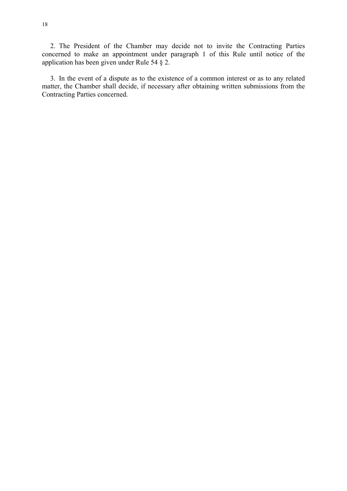2. The President of the Chamber may decide not to invite the Contracting Parties concerned to make an appointment under paragraph 1 of this Rule until notice of the application has been given under Rule 54 § 2.

3. In the event of a dispute as to the existence of a common interest or as to any related matter, the Chamber shall decide, if necessary after obtaining written submissions from the Contracting Parties concerned.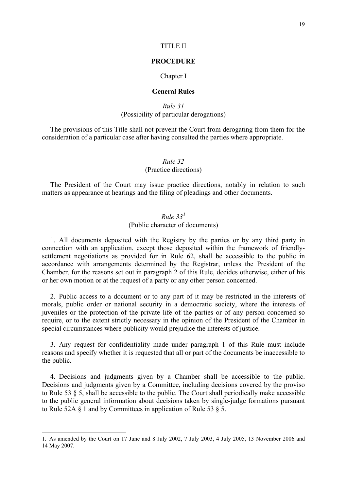#### TITLE II

### **PROCEDURE**

#### Chapter I

#### **General Rules**

### *Rule 31*  (Possibility of particular derogations)

<span id="page-28-1"></span><span id="page-28-0"></span>The provisions of this Title shall not prevent the Court from derogating from them for the consideration of a particular case after having consulted the parties where appropriate.

#### *Rule 32*

#### (Practice directions)

<span id="page-28-3"></span><span id="page-28-2"></span>The President of the Court may issue practice directions, notably in relation to such matters as appearance at hearings and the filing of pleadings and other documents.

### $Rule 33<sup>1</sup>$  $Rule 33<sup>1</sup>$  $Rule 33<sup>1</sup>$

(Public character of documents)

<span id="page-28-5"></span><span id="page-28-4"></span>1. All documents deposited with the Registry by the parties or by any third party in connection with an application, except those deposited within the framework of friendlysettlement negotiations as provided for in Rule 62, shall be accessible to the public in accordance with arrangements determined by the Registrar, unless the President of the Chamber, for the reasons set out in paragraph 2 of this Rule, decides otherwise, either of his or her own motion or at the request of a party or any other person concerned.

2. Public access to a document or to any part of it may be restricted in the interests of morals, public order or national security in a democratic society, where the interests of juveniles or the protection of the private life of the parties or of any person concerned so require, or to the extent strictly necessary in the opinion of the President of the Chamber in special circumstances where publicity would prejudice the interests of justice.

3. Any request for confidentiality made under paragraph 1 of this Rule must include reasons and specify whether it is requested that all or part of the documents be inaccessible to the public.

4. Decisions and judgments given by a Chamber shall be accessible to the public. Decisions and judgments given by a Committee, including decisions covered by the proviso to Rule 53 § 5, shall be accessible to the public. The Court shall periodically make accessible to the public general information about decisions taken by single-judge formations pursuant to Rule 52A  $\S$  1 and by Committees in application of Rule 53  $\S$  5.

<span id="page-28-6"></span><sup>1.</sup> As amended by the Court on 17 June and 8 July 2002, 7 July 2003, 4 July 2005, 13 November 2006 and 14 May 2007.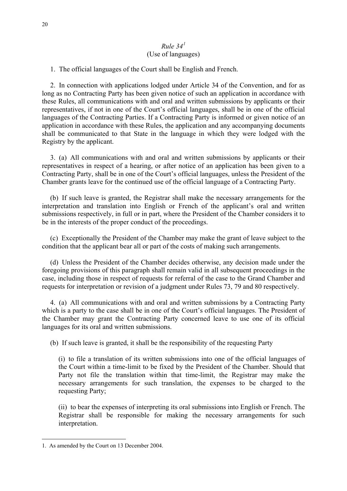### *Rule 34[1](#page-29-2)* (Use of languages)

<span id="page-29-0"></span>1. The official languages of the Court shall be English and French.

<span id="page-29-1"></span>2. In connection with applications lodged under Article 34 of the Convention, and for as long as no Contracting Party has been given notice of such an application in accordance with these Rules, all communications with and oral and written submissions by applicants or their representatives, if not in one of the Court's official languages, shall be in one of the official languages of the Contracting Parties. If a Contracting Party is informed or given notice of an application in accordance with these Rules, the application and any accompanying documents shall be communicated to that State in the language in which they were lodged with the Registry by the applicant.

3. (a) All communications with and oral and written submissions by applicants or their representatives in respect of a hearing, or after notice of an application has been given to a Contracting Party, shall be in one of the Court's official languages, unless the President of the Chamber grants leave for the continued use of the official language of a Contracting Party.

(b) If such leave is granted, the Registrar shall make the necessary arrangements for the interpretation and translation into English or French of the applicant's oral and written submissions respectively, in full or in part, where the President of the Chamber considers it to be in the interests of the proper conduct of the proceedings.

(c) Exceptionally the President of the Chamber may make the grant of leave subject to the condition that the applicant bear all or part of the costs of making such arrangements.

(d) Unless the President of the Chamber decides otherwise, any decision made under the foregoing provisions of this paragraph shall remain valid in all subsequent proceedings in the case, including those in respect of requests for referral of the case to the Grand Chamber and requests for interpretation or revision of a judgment under Rules 73, 79 and 80 respectively.

4. (a) All communications with and oral and written submissions by a Contracting Party which is a party to the case shall be in one of the Court's official languages. The President of the Chamber may grant the Contracting Party concerned leave to use one of its official languages for its oral and written submissions.

(b) If such leave is granted, it shall be the responsibility of the requesting Party

(i) to file a translation of its written submissions into one of the official languages of the Court within a time-limit to be fixed by the President of the Chamber. Should that Party not file the translation within that time-limit, the Registrar may make the necessary arrangements for such translation, the expenses to be charged to the requesting Party;

(ii) to bear the expenses of interpreting its oral submissions into English or French. The Registrar shall be responsible for making the necessary arrangements for such interpretation.

<span id="page-29-2"></span><sup>1.</sup> As amended by the Court on 13 December 2004.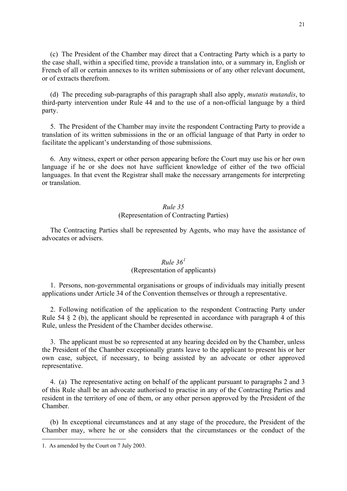(c) The President of the Chamber may direct that a Contracting Party which is a party to the case shall, within a specified time, provide a translation into, or a summary in, English or French of all or certain annexes to its written submissions or of any other relevant document, or of extracts therefrom.

(d) The preceding sub-paragraphs of this paragraph shall also apply, *mutatis mutandis*, to third-party intervention under Rule 44 and to the use of a non-official language by a third party.

5. The President of the Chamber may invite the respondent Contracting Party to provide a translation of its written submissions in the or an official language of that Party in order to facilitate the applicant's understanding of those submissions.

6. Any witness, expert or other person appearing before the Court may use his or her own language if he or she does not have sufficient knowledge of either of the two official languages. In that event the Registrar shall make the necessary arrangements for interpreting or translation.

### *Rule 35*

### (Representation of Contracting Parties)

<span id="page-30-1"></span><span id="page-30-0"></span>The Contracting Parties shall be represented by Agents, who may have the assistance of advocates or advisers.

# $Rule 36<sup>1</sup>$  $Rule 36<sup>1</sup>$  $Rule 36<sup>1</sup>$

### (Representation of applicants)

<span id="page-30-3"></span><span id="page-30-2"></span>1. Persons, non-governmental organisations or groups of individuals may initially present applications under Article 34 of the Convention themselves or through a representative.

2. Following notification of the application to the respondent Contracting Party under Rule 54  $\S$  2 (b), the applicant should be represented in accordance with paragraph 4 of this Rule, unless the President of the Chamber decides otherwise.

3. The applicant must be so represented at any hearing decided on by the Chamber, unless the President of the Chamber exceptionally grants leave to the applicant to present his or her own case, subject, if necessary, to being assisted by an advocate or other approved representative.

4. (a) The representative acting on behalf of the applicant pursuant to paragraphs 2 and 3 of this Rule shall be an advocate authorised to practise in any of the Contracting Parties and resident in the territory of one of them, or any other person approved by the President of the Chamber.

(b) In exceptional circumstances and at any stage of the procedure, the President of the Chamber may, where he or she considers that the circumstances or the conduct of the

<span id="page-30-4"></span><sup>1.</sup> As amended by the Court on 7 July 2003.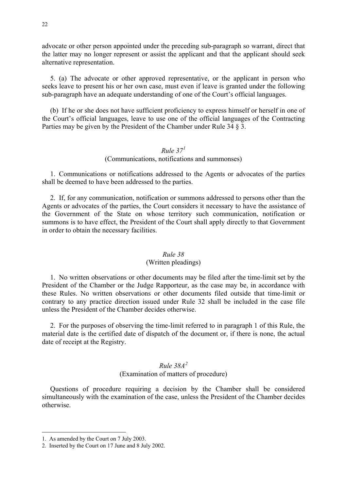advocate or other person appointed under the preceding sub-paragraph so warrant, direct that the latter may no longer represent or assist the applicant and that the applicant should seek alternative representation.

5. (a) The advocate or other approved representative, or the applicant in person who seeks leave to present his or her own case, must even if leave is granted under the following sub-paragraph have an adequate understanding of one of the Court's official languages.

(b) If he or she does not have sufficient proficiency to express himself or herself in one of the Court's official languages, leave to use one of the official languages of the Contracting Parties may be given by the President of the Chamber under Rule 34 § 3.

### *Rule 37[1](#page-31-6)* (Communications, notifications and summonses)

<span id="page-31-1"></span><span id="page-31-0"></span>1. Communications or notifications addressed to the Agents or advocates of the parties shall be deemed to have been addressed to the parties.

2. If, for any communication, notification or summons addressed to persons other than the Agents or advocates of the parties, the Court considers it necessary to have the assistance of the Government of the State on whose territory such communication, notification or summons is to have effect, the President of the Court shall apply directly to that Government in order to obtain the necessary facilities.

#### *Rule 38*

#### (Written pleadings)

<span id="page-31-3"></span><span id="page-31-2"></span>1. No written observations or other documents may be filed after the time-limit set by the President of the Chamber or the Judge Rapporteur, as the case may be, in accordance with these Rules. No written observations or other documents filed outside that time-limit or contrary to any practice direction issued under Rule 32 shall be included in the case file unless the President of the Chamber decides otherwise.

2. For the purposes of observing the time-limit referred to in paragraph 1 of this Rule, the material date is the certified date of dispatch of the document or, if there is none, the actual date of receipt at the Registry.

### *Rule 38A[2](#page-31-7)* (Examination of matters of procedure)

<span id="page-31-5"></span><span id="page-31-4"></span>Questions of procedure requiring a decision by the Chamber shall be considered simultaneously with the examination of the case, unless the President of the Chamber decides otherwise.

<span id="page-31-6"></span><sup>1.</sup> As amended by the Court on 7 July 2003.

<span id="page-31-7"></span><sup>2.</sup> Inserted by the Court on 17 June and 8 July 2002.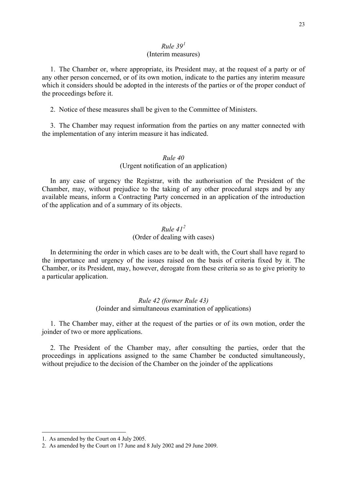# *Rule 39[1](#page-32-8)*

### (Interim measures)

<span id="page-32-1"></span><span id="page-32-0"></span>1. The Chamber or, where appropriate, its President may, at the request of a party or of any other person concerned, or of its own motion, indicate to the parties any interim measure which it considers should be adopted in the interests of the parties or of the proper conduct of the proceedings before it.

2. Notice of these measures shall be given to the Committee of Ministers.

3. The Chamber may request information from the parties on any matter connected with the implementation of any interim measure it has indicated.

### *Rule 40*  (Urgent notification of an application)

<span id="page-32-3"></span><span id="page-32-2"></span>In any case of urgency the Registrar, with the authorisation of the President of the Chamber, may, without prejudice to the taking of any other procedural steps and by any available means, inform a Contracting Party concerned in an application of the introduction of the application and of a summary of its objects.

### *Rule 41[2](#page-32-9)*

### (Order of dealing with cases)

<span id="page-32-5"></span><span id="page-32-4"></span>In determining the order in which cases are to be dealt with, the Court shall have regard to the importance and urgency of the issues raised on the basis of criteria fixed by it. The Chamber, or its President, may, however, derogate from these criteria so as to give priority to a particular application.

### *Rule 42 (former Rule 43)*  (Joinder and simultaneous examination of applications)

<span id="page-32-7"></span><span id="page-32-6"></span>1. The Chamber may, either at the request of the parties or of its own motion, order the joinder of two or more applications.

2. The President of the Chamber may, after consulting the parties, order that the proceedings in applications assigned to the same Chamber be conducted simultaneously, without prejudice to the decision of the Chamber on the joinder of the applications

<span id="page-32-8"></span><sup>1.</sup> As amended by the Court on 4 July 2005.

<span id="page-32-9"></span><sup>2.</sup> As amended by the Court on 17 June and 8 July 2002 and 29 June 2009.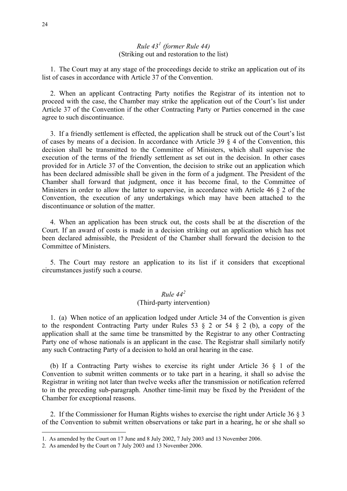### *Rule 43[1](#page-33-4) (former Rule 44)*  (Striking out and restoration to the list)

<span id="page-33-1"></span><span id="page-33-0"></span>1. The Court may at any stage of the proceedings decide to strike an application out of its list of cases in accordance with Article 37 of the Convention.

2. When an applicant Contracting Party notifies the Registrar of its intention not to proceed with the case, the Chamber may strike the application out of the Court's list under Article 37 of the Convention if the other Contracting Party or Parties concerned in the case agree to such discontinuance.

3. If a friendly settlement is effected, the application shall be struck out of the Court's list of cases by means of a decision. In accordance with Article 39 § 4 of the Convention, this decision shall be transmitted to the Committee of Ministers, which shall supervise the execution of the terms of the friendly settlement as set out in the decision. In other cases provided for in Article 37 of the Convention, the decision to strike out an application which has been declared admissible shall be given in the form of a judgment. The President of the Chamber shall forward that judgment, once it has become final, to the Committee of Ministers in order to allow the latter to supervise, in accordance with Article 46  $\S$  2 of the Convention, the execution of any undertakings which may have been attached to the discontinuance or solution of the matter.

4. When an application has been struck out, the costs shall be at the discretion of the Court. If an award of costs is made in a decision striking out an application which has not been declared admissible, the President of the Chamber shall forward the decision to the Committee of Ministers.

5. The Court may restore an application to its list if it considers that exceptional circumstances justify such a course.

### *Rule 44[2](#page-33-5)*

### (Third-party intervention)

<span id="page-33-3"></span><span id="page-33-2"></span>1. (a) When notice of an application lodged under Article 34 of the Convention is given to the respondent Contracting Party under Rules 53  $\S$  2 or 54  $\S$  2 (b), a copy of the application shall at the same time be transmitted by the Registrar to any other Contracting Party one of whose nationals is an applicant in the case. The Registrar shall similarly notify any such Contracting Party of a decision to hold an oral hearing in the case.

(b) If a Contracting Party wishes to exercise its right under Article 36 § 1 of the Convention to submit written comments or to take part in a hearing, it shall so advise the Registrar in writing not later than twelve weeks after the transmission or notification referred to in the preceding sub-paragraph. Another time-limit may be fixed by the President of the Chamber for exceptional reasons.

2. If the Commissioner for Human Rights wishes to exercise the right under Article 36 § 3 of the Convention to submit written observations or take part in a hearing, he or she shall so

<span id="page-33-4"></span><sup>1.</sup> As amended by the Court on 17 June and 8 July 2002, 7 July 2003 and 13 November 2006.

<span id="page-33-5"></span><sup>2.</sup> As amended by the Court on 7 July 2003 and 13 November 2006.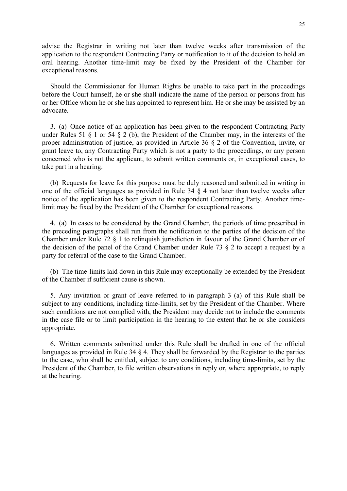advise the Registrar in writing not later than twelve weeks after transmission of the application to the respondent Contracting Party or notification to it of the decision to hold an oral hearing. Another time-limit may be fixed by the President of the Chamber for exceptional reasons.

Should the Commissioner for Human Rights be unable to take part in the proceedings before the Court himself, he or she shall indicate the name of the person or persons from his or her Office whom he or she has appointed to represent him. He or she may be assisted by an advocate.

3. (a) Once notice of an application has been given to the respondent Contracting Party under Rules 51 § 1 or 54 § 2 (b), the President of the Chamber may, in the interests of the proper administration of justice, as provided in Article 36 § 2 of the Convention, invite, or grant leave to, any Contracting Party which is not a party to the proceedings, or any person concerned who is not the applicant, to submit written comments or, in exceptional cases, to take part in a hearing.

(b) Requests for leave for this purpose must be duly reasoned and submitted in writing in one of the official languages as provided in Rule 34 § 4 not later than twelve weeks after notice of the application has been given to the respondent Contracting Party. Another timelimit may be fixed by the President of the Chamber for exceptional reasons.

4. (a) In cases to be considered by the Grand Chamber, the periods of time prescribed in the preceding paragraphs shall run from the notification to the parties of the decision of the Chamber under Rule 72 § 1 to relinquish jurisdiction in favour of the Grand Chamber or of the decision of the panel of the Grand Chamber under Rule 73 § 2 to accept a request by a party for referral of the case to the Grand Chamber.

(b) The time-limits laid down in this Rule may exceptionally be extended by the President of the Chamber if sufficient cause is shown.

5. Any invitation or grant of leave referred to in paragraph 3 (a) of this Rule shall be subject to any conditions, including time-limits, set by the President of the Chamber. Where such conditions are not complied with, the President may decide not to include the comments in the case file or to limit participation in the hearing to the extent that he or she considers appropriate.

6. Written comments submitted under this Rule shall be drafted in one of the official languages as provided in Rule 34 § 4. They shall be forwarded by the Registrar to the parties to the case, who shall be entitled, subject to any conditions, including time-limits, set by the President of the Chamber, to file written observations in reply or, where appropriate, to reply at the hearing.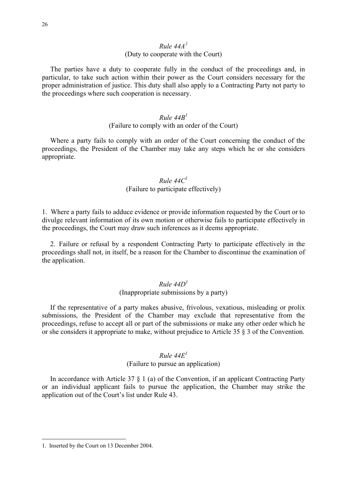### *Rule 44A[1](#page-35-10)* (Duty to cooperate with the Court)

<span id="page-35-1"></span><span id="page-35-0"></span>The parties have a duty to cooperate fully in the conduct of the proceedings and, in particular, to take such action within their power as the Court considers necessary for the proper administration of justice. This duty shall also apply to a Contracting Party not party to the proceedings where such cooperation is necessary.

### *Rule 44B1*

### (Failure to comply with an order of the Court)

<span id="page-35-3"></span><span id="page-35-2"></span>Where a party fails to comply with an order of the Court concerning the conduct of the proceedings, the President of the Chamber may take any steps which he or she considers appropriate.

### *Rule 44C1* (Failure to participate effectively)

<span id="page-35-5"></span><span id="page-35-4"></span>1. Where a party fails to adduce evidence or provide information requested by the Court or to divulge relevant information of its own motion or otherwise fails to participate effectively in the proceedings, the Court may draw such inferences as it deems appropriate.

2. Failure or refusal by a respondent Contracting Party to participate effectively in the proceedings shall not, in itself, be a reason for the Chamber to discontinue the examination of the application.

# *Rule 44D1*

### (Inappropriate submissions by a party)

<span id="page-35-7"></span><span id="page-35-6"></span>If the representative of a party makes abusive, frivolous, vexatious, misleading or prolix submissions, the President of the Chamber may exclude that representative from the proceedings, refuse to accept all or part of the submissions or make any other order which he or she considers it appropriate to make, without prejudice to Article 35 § 3 of the Convention.

### *Rule 44E1*

### (Failure to pursue an application)

<span id="page-35-9"></span><span id="page-35-8"></span>In accordance with Article 37 § 1 (a) of the Convention, if an applicant Contracting Party or an individual applicant fails to pursue the application, the Chamber may strike the application out of the Court's list under Rule 43.

<span id="page-35-10"></span><sup>1.</sup> Inserted by the Court on 13 December 2004.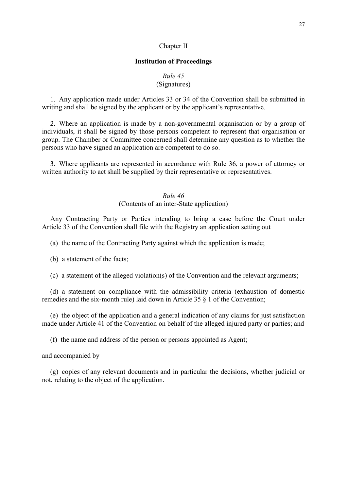## **Institution of Proceedings**

## *Rule 45*  (Signatures)

1. Any application made under Articles 33 or 34 of the Convention shall be submitted in writing and shall be signed by the applicant or by the applicant's representative.

2. Where an application is made by a non-governmental organisation or by a group of individuals, it shall be signed by those persons competent to represent that organisation or group. The Chamber or Committee concerned shall determine any question as to whether the persons who have signed an application are competent to do so.

3. Where applicants are represented in accordance with Rule 36, a power of attorney or written authority to act shall be supplied by their representative or representatives.

# *Rule 46*  (Contents of an inter-State application)

Any Contracting Party or Parties intending to bring a case before the Court under Article 33 of the Convention shall file with the Registry an application setting out

(a) the name of the Contracting Party against which the application is made;

(b) a statement of the facts;

(c) a statement of the alleged violation(s) of the Convention and the relevant arguments;

(d) a statement on compliance with the admissibility criteria (exhaustion of domestic remedies and the six-month rule) laid down in Article 35 § 1 of the Convention;

(e) the object of the application and a general indication of any claims for just satisfaction made under Article 41 of the Convention on behalf of the alleged injured party or parties; and

(f) the name and address of the person or persons appointed as Agent;

and accompanied by

(g) copies of any relevant documents and in particular the decisions, whether judicial or not, relating to the object of the application.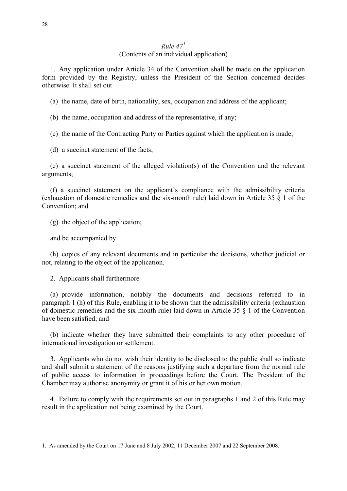## (Contents of an individual application)

1. Any application under Article 34 of the Convention shall be made on the application form provided by the Registry, unless the President of the Section concerned decides otherwise. It shall set out

- (a) the name, date of birth, nationality, sex, occupation and address of the applicant;
- (b) the name, occupation and address of the representative, if any;
- (c) the name of the Contracting Party or Parties against which the application is made;

(d) a succinct statement of the facts;

(e) a succinct statement of the alleged violation(s) of the Convention and the relevant arguments;

(f) a succinct statement on the applicant's compliance with the admissibility criteria (exhaustion of domestic remedies and the six-month rule) laid down in Article 35 § 1 of the Convention; and

(g) the object of the application;

and be accompanied by

1

(h) copies of any relevant documents and in particular the decisions, whether judicial or not, relating to the object of the application.

2. Applicants shall furthermore

(a) provide information, notably the documents and decisions referred to in paragraph 1 (h) of this Rule, enabling it to be shown that the admissibility criteria (exhaustion of domestic remedies and the six-month rule) laid down in Article 35 § 1 of the Convention have been satisfied; and

(b) indicate whether they have submitted their complaints to any other procedure of international investigation or settlement.

3. Applicants who do not wish their identity to be disclosed to the public shall so indicate and shall submit a statement of the reasons justifying such a departure from the normal rule of public access to information in proceedings before the Court. The President of the Chamber may authorise anonymity or grant it of his or her own motion.

4. Failure to comply with the requirements set out in paragraphs 1 and 2 of this Rule may result in the application not being examined by the Court.

<span id="page-37-0"></span><sup>1.</sup> As amended by the Court on 17 June and 8 July 2002, 11 December 2007 and 22 September 2008.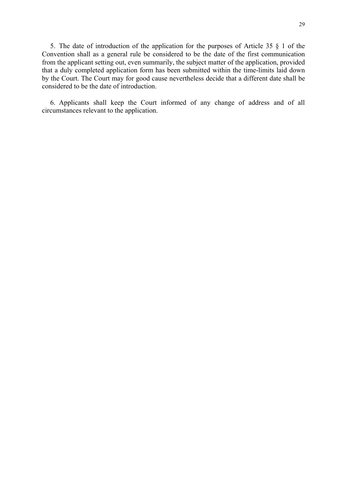5. The date of introduction of the application for the purposes of Article 35 § 1 of the Convention shall as a general rule be considered to be the date of the first communication from the applicant setting out, even summarily, the subject matter of the application, provided that a duly completed application form has been submitted within the time-limits laid down by the Court. The Court may for good cause nevertheless decide that a different date shall be considered to be the date of introduction.

6. Applicants shall keep the Court informed of any change of address and of all circumstances relevant to the application.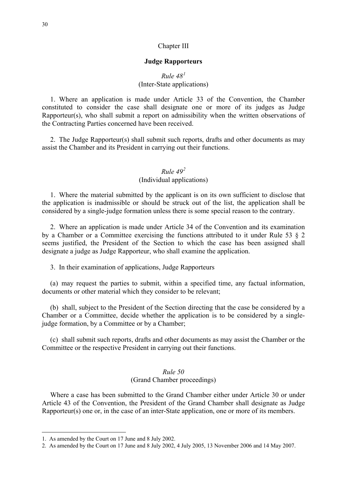#### Chapter III

#### **Judge Rapporteurs**

# *Rule 48[1](#page-39-0)* (Inter-State applications)

1. Where an application is made under Article 33 of the Convention, the Chamber constituted to consider the case shall designate one or more of its judges as Judge Rapporteur(s), who shall submit a report on admissibility when the written observations of the Contracting Parties concerned have been received.

2. The Judge Rapporteur(s) shall submit such reports, drafts and other documents as may assist the Chamber and its President in carrying out their functions.

## *Rule 49[2](#page-39-1)*

# (Individual applications)

1. Where the material submitted by the applicant is on its own sufficient to disclose that the application is inadmissible or should be struck out of the list, the application shall be considered by a single-judge formation unless there is some special reason to the contrary.

2. Where an application is made under Article 34 of the Convention and its examination by a Chamber or a Committee exercising the functions attributed to it under Rule 53 § 2 seems justified, the President of the Section to which the case has been assigned shall designate a judge as Judge Rapporteur, who shall examine the application.

3. In their examination of applications, Judge Rapporteurs

(a) may request the parties to submit, within a specified time, any factual information, documents or other material which they consider to be relevant;

(b) shall, subject to the President of the Section directing that the case be considered by a Chamber or a Committee, decide whether the application is to be considered by a singlejudge formation, by a Committee or by a Chamber;

(c) shall submit such reports, drafts and other documents as may assist the Chamber or the Committee or the respective President in carrying out their functions.

### *Rule 50*  (Grand Chamber proceedings)

Where a case has been submitted to the Grand Chamber either under Article 30 or under Article 43 of the Convention, the President of the Grand Chamber shall designate as Judge Rapporteur(s) one or, in the case of an inter-State application, one or more of its members.

<span id="page-39-0"></span><sup>1.</sup> As amended by the Court on 17 June and 8 July 2002.

<span id="page-39-1"></span><sup>2.</sup> As amended by the Court on 17 June and 8 July 2002, 4 July 2005, 13 November 2006 and 14 May 2007.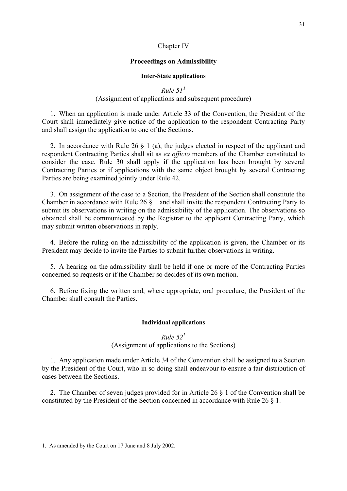#### Chapter IV

## **Proceedings on Admissibility**

### **Inter-State applications**

# $Rule 51<sup>1</sup>$  $Rule 51<sup>1</sup>$  $Rule 51<sup>1</sup>$ (Assignment of applications and subsequent procedure)

1. When an application is made under Article 33 of the Convention, the President of the Court shall immediately give notice of the application to the respondent Contracting Party and shall assign the application to one of the Sections.

2. In accordance with Rule 26 § 1 (a), the judges elected in respect of the applicant and respondent Contracting Parties shall sit as *ex officio* members of the Chamber constituted to consider the case. Rule 30 shall apply if the application has been brought by several Contracting Parties or if applications with the same object brought by several Contracting Parties are being examined jointly under Rule 42.

3. On assignment of the case to a Section, the President of the Section shall constitute the Chamber in accordance with Rule 26 § 1 and shall invite the respondent Contracting Party to submit its observations in writing on the admissibility of the application. The observations so obtained shall be communicated by the Registrar to the applicant Contracting Party, which may submit written observations in reply.

4. Before the ruling on the admissibility of the application is given, the Chamber or its President may decide to invite the Parties to submit further observations in writing.

5. A hearing on the admissibility shall be held if one or more of the Contracting Parties concerned so requests or if the Chamber so decides of its own motion.

6. Before fixing the written and, where appropriate, oral procedure, the President of the Chamber shall consult the Parties.

#### **Individual applications**

# *Rule 521* (Assignment of applications to the Sections)

1. Any application made under Article 34 of the Convention shall be assigned to a Section by the President of the Court, who in so doing shall endeavour to ensure a fair distribution of cases between the Sections.

2. The Chamber of seven judges provided for in Article 26 § 1 of the Convention shall be constituted by the President of the Section concerned in accordance with Rule 26 § 1.

<span id="page-40-0"></span><sup>1.</sup> As amended by the Court on 17 June and 8 July 2002.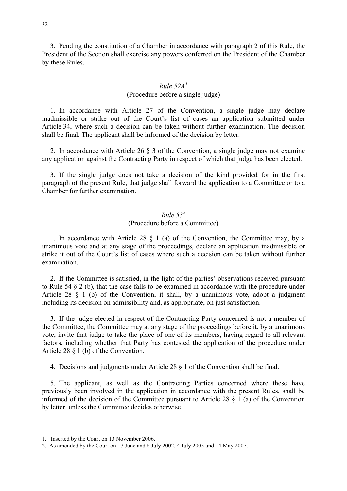3. Pending the constitution of a Chamber in accordance with paragraph 2 of this Rule, the President of the Section shall exercise any powers conferred on the President of the Chamber by these Rules.

### *Rule 52A[1](#page-41-0)* (Procedure before a single judge)

1. In accordance with Article 27 of the Convention, a single judge may declare inadmissible or strike out of the Court's list of cases an application submitted under Article 34, where such a decision can be taken without further examination. The decision shall be final. The applicant shall be informed of the decision by letter.

2. In accordance with Article 26 § 3 of the Convention, a single judge may not examine any application against the Contracting Party in respect of which that judge has been elected.

3. If the single judge does not take a decision of the kind provided for in the first paragraph of the present Rule, that judge shall forward the application to a Committee or to a Chamber for further examination.

# *Rule 53[2](#page-41-1)* (Procedure before a Committee)

1. In accordance with Article 28 § 1 (a) of the Convention, the Committee may, by a unanimous vote and at any stage of the proceedings, declare an application inadmissible or strike it out of the Court's list of cases where such a decision can be taken without further examination.

2. If the Committee is satisfied, in the light of the parties' observations received pursuant to Rule 54 § 2 (b), that the case falls to be examined in accordance with the procedure under Article 28 § 1 (b) of the Convention, it shall, by a unanimous vote, adopt a judgment including its decision on admissibility and, as appropriate, on just satisfaction.

3. If the judge elected in respect of the Contracting Party concerned is not a member of the Committee, the Committee may at any stage of the proceedings before it, by a unanimous vote, invite that judge to take the place of one of its members, having regard to all relevant factors, including whether that Party has contested the application of the procedure under Article 28 § 1 (b) of the Convention.

4. Decisions and judgments under Article 28 § 1 of the Convention shall be final.

5. The applicant, as well as the Contracting Parties concerned where these have previously been involved in the application in accordance with the present Rules, shall be informed of the decision of the Committee pursuant to Article 28  $\S$  1 (a) of the Convention by letter, unless the Committee decides otherwise.

<span id="page-41-0"></span><sup>1.</sup> Inserted by the Court on 13 November 2006.

<span id="page-41-1"></span><sup>2.</sup> As amended by the Court on 17 June and 8 July 2002, 4 July 2005 and 14 May 2007.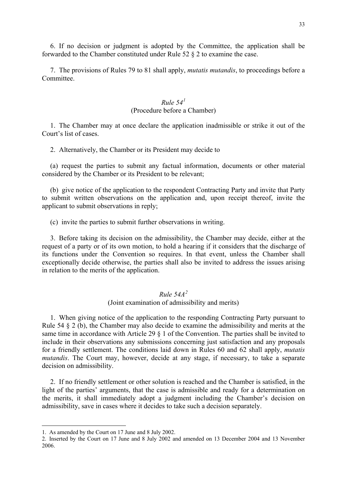6. If no decision or judgment is adopted by the Committee, the application shall be forwarded to the Chamber constituted under Rule 52 § 2 to examine the case.

7. The provisions of Rules 79 to 81 shall apply, *mutatis mutandis*, to proceedings before a **Committee** 

# $Rule 54<sup>1</sup>$  $Rule 54<sup>1</sup>$  $Rule 54<sup>1</sup>$ (Procedure before a Chamber)

1. The Chamber may at once declare the application inadmissible or strike it out of the Court's list of cases.

2. Alternatively, the Chamber or its President may decide to

(a) request the parties to submit any factual information, documents or other material considered by the Chamber or its President to be relevant;

(b) give notice of the application to the respondent Contracting Party and invite that Party to submit written observations on the application and, upon receipt thereof, invite the applicant to submit observations in reply;

(c) invite the parties to submit further observations in writing.

3. Before taking its decision on the admissibility, the Chamber may decide, either at the request of a party or of its own motion, to hold a hearing if it considers that the discharge of its functions under the Convention so requires. In that event, unless the Chamber shall exceptionally decide otherwise, the parties shall also be invited to address the issues arising in relation to the merits of the application.

# *Rule 54A[2](#page-42-1)*

#### (Joint examination of admissibility and merits)

1. When giving notice of the application to the responding Contracting Party pursuant to Rule 54 § 2 (b), the Chamber may also decide to examine the admissibility and merits at the same time in accordance with Article 29 § 1 of the Convention. The parties shall be invited to include in their observations any submissions concerning just satisfaction and any proposals for a friendly settlement. The conditions laid down in Rules 60 and 62 shall apply, *mutatis mutandis*. The Court may, however, decide at any stage, if necessary, to take a separate decision on admissibility.

2. If no friendly settlement or other solution is reached and the Chamber is satisfied, in the light of the parties' arguments, that the case is admissible and ready for a determination on the merits, it shall immediately adopt a judgment including the Chamber's decision on admissibility, save in cases where it decides to take such a decision separately.

<span id="page-42-0"></span><sup>1.</sup> As amended by the Court on 17 June and 8 July 2002.

<span id="page-42-1"></span><sup>2.</sup> Inserted by the Court on 17 June and 8 July 2002 and amended on 13 December 2004 and 13 November 2006.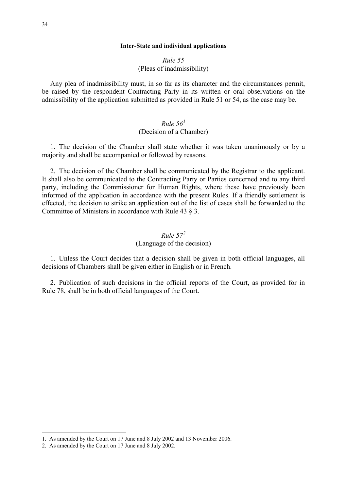#### **Inter-State and individual applications**

### *Rule 55*  (Pleas of inadmissibility)

Any plea of inadmissibility must, in so far as its character and the circumstances permit, be raised by the respondent Contracting Party in its written or oral observations on the admissibility of the application submitted as provided in Rule 51 or 54, as the case may be.

# *Rule 56[1](#page-43-0)* (Decision of a Chamber)

1. The decision of the Chamber shall state whether it was taken unanimously or by a majority and shall be accompanied or followed by reasons.

2. The decision of the Chamber shall be communicated by the Registrar to the applicant. It shall also be communicated to the Contracting Party or Parties concerned and to any third party, including the Commissioner for Human Rights, where these have previously been informed of the application in accordance with the present Rules. If a friendly settlement is effected, the decision to strike an application out of the list of cases shall be forwarded to the Committee of Ministers in accordance with Rule 43 § 3.

# *Rule 57[2](#page-43-1)* (Language of the decision)

1. Unless the Court decides that a decision shall be given in both official languages, all decisions of Chambers shall be given either in English or in French.

2. Publication of such decisions in the official reports of the Court, as provided for in Rule 78, shall be in both official languages of the Court.

<span id="page-43-0"></span><sup>1.</sup> As amended by the Court on 17 June and 8 July 2002 and 13 November 2006.

<span id="page-43-1"></span><sup>2.</sup> As amended by the Court on 17 June and 8 July 2002.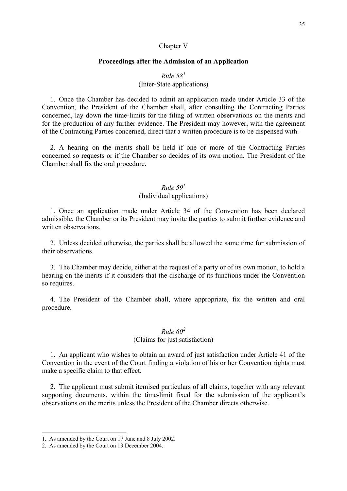#### Chapter V

### **Proceedings after the Admission of an Application**

# *Rule 58[1](#page-44-0)* (Inter-State applications)

1. Once the Chamber has decided to admit an application made under Article 33 of the Convention, the President of the Chamber shall, after consulting the Contracting Parties concerned, lay down the time-limits for the filing of written observations on the merits and for the production of any further evidence. The President may however, with the agreement of the Contracting Parties concerned, direct that a written procedure is to be dispensed with.

2. A hearing on the merits shall be held if one or more of the Contracting Parties concerned so requests or if the Chamber so decides of its own motion. The President of the Chamber shall fix the oral procedure.

# *Rule 591*

### (Individual applications)

1. Once an application made under Article 34 of the Convention has been declared admissible, the Chamber or its President may invite the parties to submit further evidence and written observations.

2. Unless decided otherwise, the parties shall be allowed the same time for submission of their observations.

3. The Chamber may decide, either at the request of a party or of its own motion, to hold a hearing on the merits if it considers that the discharge of its functions under the Convention so requires.

4. The President of the Chamber shall, where appropriate, fix the written and oral procedure.

# *Rule 60[2](#page-44-1)* (Claims for just satisfaction)

1. An applicant who wishes to obtain an award of just satisfaction under Article 41 of the Convention in the event of the Court finding a violation of his or her Convention rights must make a specific claim to that effect.

2. The applicant must submit itemised particulars of all claims, together with any relevant supporting documents, within the time-limit fixed for the submission of the applicant's observations on the merits unless the President of the Chamber directs otherwise.

<span id="page-44-0"></span><sup>1.</sup> As amended by the Court on 17 June and 8 July 2002.

<span id="page-44-1"></span><sup>2.</sup> As amended by the Court on 13 December 2004.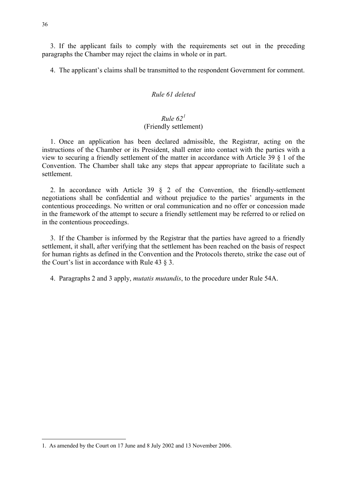3. If the applicant fails to comply with the requirements set out in the preceding paragraphs the Chamber may reject the claims in whole or in part.

4. The applicant's claims shall be transmitted to the respondent Government for comment.

### *Rule 61 deleted*

## $Rule 62<sup>1</sup>$  $Rule 62<sup>1</sup>$  $Rule 62<sup>1</sup>$ (Friendly settlement)

1. Once an application has been declared admissible, the Registrar, acting on the instructions of the Chamber or its President, shall enter into contact with the parties with a view to securing a friendly settlement of the matter in accordance with Article 39 § 1 of the Convention. The Chamber shall take any steps that appear appropriate to facilitate such a settlement.

2. In accordance with Article 39 § 2 of the Convention, the friendly-settlement negotiations shall be confidential and without prejudice to the parties' arguments in the contentious proceedings. No written or oral communication and no offer or concession made in the framework of the attempt to secure a friendly settlement may be referred to or relied on in the contentious proceedings.

3. If the Chamber is informed by the Registrar that the parties have agreed to a friendly settlement, it shall, after verifying that the settlement has been reached on the basis of respect for human rights as defined in the Convention and the Protocols thereto, strike the case out of the Court's list in accordance with Rule 43 § 3.

4. Paragraphs 2 and 3 apply, *mutatis mutandis*, to the procedure under Rule 54A.

<span id="page-45-0"></span><sup>1</sup> 1. As amended by the Court on 17 June and 8 July 2002 and 13 November 2006.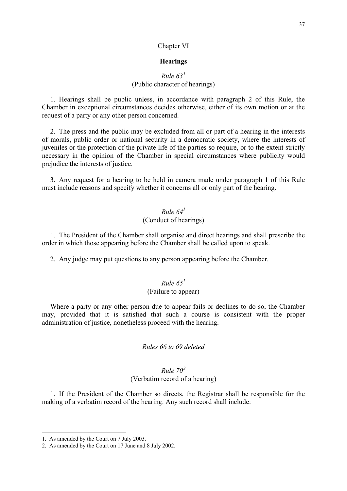#### Chapter VI

#### **Hearings**

# *Rule 63[1](#page-46-0)* (Public character of hearings)

1. Hearings shall be public unless, in accordance with paragraph 2 of this Rule, the Chamber in exceptional circumstances decides otherwise, either of its own motion or at the request of a party or any other person concerned.

2. The press and the public may be excluded from all or part of a hearing in the interests of morals, public order or national security in a democratic society, where the interests of juveniles or the protection of the private life of the parties so require, or to the extent strictly necessary in the opinion of the Chamber in special circumstances where publicity would prejudice the interests of justice.

3. Any request for a hearing to be held in camera made under paragraph 1 of this Rule must include reasons and specify whether it concerns all or only part of the hearing.

# $Rule 64<sup>1</sup>$

# (Conduct of hearings)

1. The President of the Chamber shall organise and direct hearings and shall prescribe the order in which those appearing before the Chamber shall be called upon to speak.

2. Any judge may put questions to any person appearing before the Chamber.

# $Rule 65<sup>1</sup>$

### (Failure to appear)

Where a party or any other person due to appear fails or declines to do so, the Chamber may, provided that it is satisfied that such a course is consistent with the proper administration of justice, nonetheless proceed with the hearing.

### *Rules 66 to 69 deleted*

# *Rule 70[2](#page-46-1)*

# (Verbatim record of a hearing)

1. If the President of the Chamber so directs, the Registrar shall be responsible for the making of a verbatim record of the hearing. Any such record shall include:

<sup>1.</sup> As amended by the Court on 7 July 2003.

<span id="page-46-1"></span><span id="page-46-0"></span><sup>2.</sup> As amended by the Court on 17 June and 8 July 2002.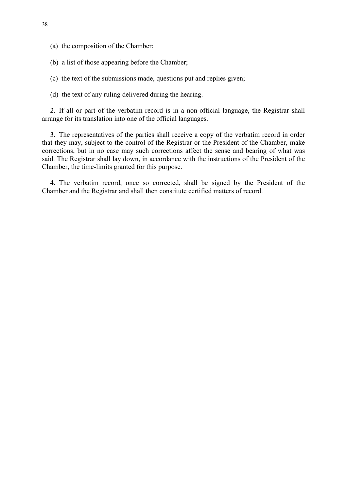- (a) the composition of the Chamber;
- (b) a list of those appearing before the Chamber;
- (c) the text of the submissions made, questions put and replies given;
- (d) the text of any ruling delivered during the hearing.

2. If all or part of the verbatim record is in a non-official language, the Registrar shall arrange for its translation into one of the official languages.

3. The representatives of the parties shall receive a copy of the verbatim record in order that they may, subject to the control of the Registrar or the President of the Chamber, make corrections, but in no case may such corrections affect the sense and bearing of what was said. The Registrar shall lay down, in accordance with the instructions of the President of the Chamber, the time-limits granted for this purpose.

4. The verbatim record, once so corrected, shall be signed by the President of the Chamber and the Registrar and shall then constitute certified matters of record.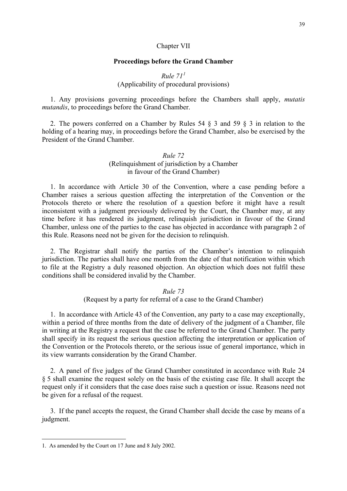### Chapter VII

### **Proceedings before the Grand Chamber**

# $Rule 71<sup>1</sup>$  $Rule 71<sup>1</sup>$  $Rule 71<sup>1</sup>$ (Applicability of procedural provisions)

1. Any provisions governing proceedings before the Chambers shall apply, *mutatis mutandis*, to proceedings before the Grand Chamber.

2. The powers conferred on a Chamber by Rules 54 § 3 and 59 § 3 in relation to the holding of a hearing may, in proceedings before the Grand Chamber, also be exercised by the President of the Grand Chamber.

### *Rule 72*  (Relinquishment of jurisdiction by a Chamber in favour of the Grand Chamber)

1. In accordance with Article 30 of the Convention, where a case pending before a Chamber raises a serious question affecting the interpretation of the Convention or the Protocols thereto or where the resolution of a question before it might have a result inconsistent with a judgment previously delivered by the Court, the Chamber may, at any time before it has rendered its judgment, relinquish jurisdiction in favour of the Grand Chamber, unless one of the parties to the case has objected in accordance with paragraph 2 of this Rule. Reasons need not be given for the decision to relinquish.

2. The Registrar shall notify the parties of the Chamber's intention to relinquish jurisdiction. The parties shall have one month from the date of that notification within which to file at the Registry a duly reasoned objection. An objection which does not fulfil these conditions shall be considered invalid by the Chamber.

### *Rule 73*

(Request by a party for referral of a case to the Grand Chamber)

1. In accordance with Article 43 of the Convention, any party to a case may exceptionally, within a period of three months from the date of delivery of the judgment of a Chamber, file in writing at the Registry a request that the case be referred to the Grand Chamber. The party shall specify in its request the serious question affecting the interpretation or application of the Convention or the Protocols thereto, or the serious issue of general importance, which in its view warrants consideration by the Grand Chamber.

2. A panel of five judges of the Grand Chamber constituted in accordance with Rule 24 § 5 shall examine the request solely on the basis of the existing case file. It shall accept the request only if it considers that the case does raise such a question or issue. Reasons need not be given for a refusal of the request.

3. If the panel accepts the request, the Grand Chamber shall decide the case by means of a judgment.

<span id="page-48-0"></span><sup>1.</sup> As amended by the Court on 17 June and 8 July 2002.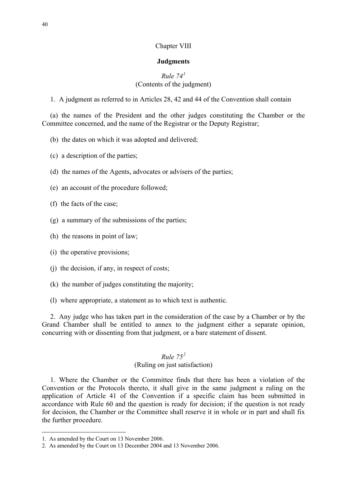## Chapter VIII

## **Judgments**

# *Rule 74[1](#page-49-0)* (Contents of the judgment)

1. A judgment as referred to in Articles 28, 42 and 44 of the Convention shall contain

(a) the names of the President and the other judges constituting the Chamber or the Committee concerned, and the name of the Registrar or the Deputy Registrar;

- (b) the dates on which it was adopted and delivered;
- (c) a description of the parties;
- (d) the names of the Agents, advocates or advisers of the parties;
- (e) an account of the procedure followed;
- (f) the facts of the case;
- (g) a summary of the submissions of the parties;
- (h) the reasons in point of law;
- (i) the operative provisions;
- (j) the decision, if any, in respect of costs;
- (k) the number of judges constituting the majority;
- (l) where appropriate, a statement as to which text is authentic.

2. Any judge who has taken part in the consideration of the case by a Chamber or by the Grand Chamber shall be entitled to annex to the judgment either a separate opinion, concurring with or dissenting from that judgment, or a bare statement of dissent.

# *Rule 75[2](#page-49-1)*

## (Ruling on just satisfaction)

1. Where the Chamber or the Committee finds that there has been a violation of the Convention or the Protocols thereto, it shall give in the same judgment a ruling on the application of Article 41 of the Convention if a specific claim has been submitted in accordance with Rule 60 and the question is ready for decision; if the question is not ready for decision, the Chamber or the Committee shall reserve it in whole or in part and shall fix the further procedure.

<span id="page-49-0"></span><sup>1.</sup> As amended by the Court on 13 November 2006.

<span id="page-49-1"></span><sup>2.</sup> As amended by the Court on 13 December 2004 and 13 November 2006.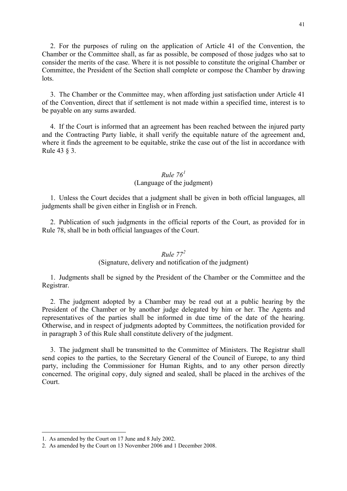2. For the purposes of ruling on the application of Article 41 of the Convention, the Chamber or the Committee shall, as far as possible, be composed of those judges who sat to consider the merits of the case. Where it is not possible to constitute the original Chamber or Committee, the President of the Section shall complete or compose the Chamber by drawing lots.

3. The Chamber or the Committee may, when affording just satisfaction under Article 41 of the Convention, direct that if settlement is not made within a specified time, interest is to be payable on any sums awarded.

4. If the Court is informed that an agreement has been reached between the injured party and the Contracting Party liable, it shall verify the equitable nature of the agreement and, where it finds the agreement to be equitable, strike the case out of the list in accordance with Rule 43 § 3.

# *Rule 76[1](#page-50-0)* (Language of the judgment)

1. Unless the Court decides that a judgment shall be given in both official languages, all judgments shall be given either in English or in French.

2. Publication of such judgments in the official reports of the Court, as provided for in Rule 78, shall be in both official languages of the Court.

# *Rule 77[2](#page-50-1)*

# (Signature, delivery and notification of the judgment)

1. Judgments shall be signed by the President of the Chamber or the Committee and the Registrar.

2. The judgment adopted by a Chamber may be read out at a public hearing by the President of the Chamber or by another judge delegated by him or her. The Agents and representatives of the parties shall be informed in due time of the date of the hearing. Otherwise, and in respect of judgments adopted by Committees, the notification provided for in paragraph 3 of this Rule shall constitute delivery of the judgment.

3. The judgment shall be transmitted to the Committee of Ministers. The Registrar shall send copies to the parties, to the Secretary General of the Council of Europe, to any third party, including the Commissioner for Human Rights, and to any other person directly concerned. The original copy, duly signed and sealed, shall be placed in the archives of the Court.

<span id="page-50-0"></span><sup>1.</sup> As amended by the Court on 17 June and 8 July 2002.

<span id="page-50-1"></span><sup>2.</sup> As amended by the Court on 13 November 2006 and 1 December 2008.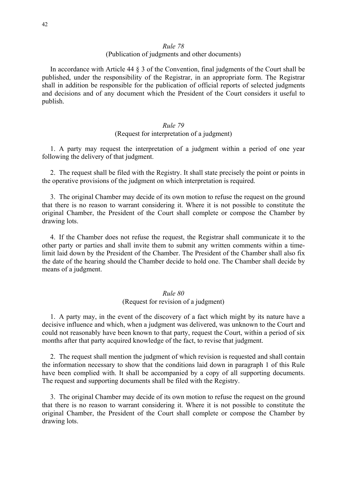## *Rule 78*

## (Publication of judgments and other documents)

In accordance with Article 44 § 3 of the Convention, final judgments of the Court shall be published, under the responsibility of the Registrar, in an appropriate form. The Registrar shall in addition be responsible for the publication of official reports of selected judgments and decisions and of any document which the President of the Court considers it useful to publish.

## *Rule 79*

#### (Request for interpretation of a judgment)

1. A party may request the interpretation of a judgment within a period of one year following the delivery of that judgment.

2. The request shall be filed with the Registry. It shall state precisely the point or points in the operative provisions of the judgment on which interpretation is required.

3. The original Chamber may decide of its own motion to refuse the request on the ground that there is no reason to warrant considering it. Where it is not possible to constitute the original Chamber, the President of the Court shall complete or compose the Chamber by drawing lots.

4. If the Chamber does not refuse the request, the Registrar shall communicate it to the other party or parties and shall invite them to submit any written comments within a timelimit laid down by the President of the Chamber. The President of the Chamber shall also fix the date of the hearing should the Chamber decide to hold one. The Chamber shall decide by means of a judgment.

### *Rule 80*

# (Request for revision of a judgment)

1. A party may, in the event of the discovery of a fact which might by its nature have a decisive influence and which, when a judgment was delivered, was unknown to the Court and could not reasonably have been known to that party, request the Court, within a period of six months after that party acquired knowledge of the fact, to revise that judgment.

2. The request shall mention the judgment of which revision is requested and shall contain the information necessary to show that the conditions laid down in paragraph 1 of this Rule have been complied with. It shall be accompanied by a copy of all supporting documents. The request and supporting documents shall be filed with the Registry.

3. The original Chamber may decide of its own motion to refuse the request on the ground that there is no reason to warrant considering it. Where it is not possible to constitute the original Chamber, the President of the Court shall complete or compose the Chamber by drawing lots.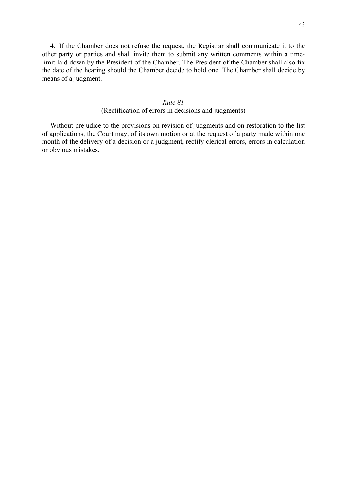4. If the Chamber does not refuse the request, the Registrar shall communicate it to the other party or parties and shall invite them to submit any written comments within a timelimit laid down by the President of the Chamber. The President of the Chamber shall also fix the date of the hearing should the Chamber decide to hold one. The Chamber shall decide by means of a judgment.

### *Rule 81*  (Rectification of errors in decisions and judgments)

Without prejudice to the provisions on revision of judgments and on restoration to the list of applications, the Court may, of its own motion or at the request of a party made within one month of the delivery of a decision or a judgment, rectify clerical errors, errors in calculation or obvious mistakes.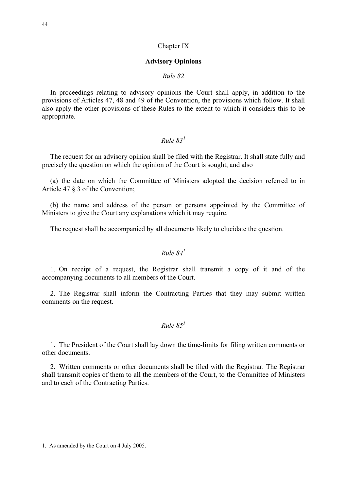#### Chapter IX

#### **Advisory Opinions**

#### *Rule 82*

In proceedings relating to advisory opinions the Court shall apply, in addition to the provisions of Articles 47, 48 and 49 of the Convention, the provisions which follow. It shall also apply the other provisions of these Rules to the extent to which it considers this to be appropriate.

# *Rule 83[1](#page-53-0)*

The request for an advisory opinion shall be filed with the Registrar. It shall state fully and precisely the question on which the opinion of the Court is sought, and also

(a) the date on which the Committee of Ministers adopted the decision referred to in Article 47 § 3 of the Convention;

(b) the name and address of the person or persons appointed by the Committee of Ministers to give the Court any explanations which it may require.

The request shall be accompanied by all documents likely to elucidate the question.

# $Rule 84<sup>1</sup>$

1. On receipt of a request, the Registrar shall transmit a copy of it and of the accompanying documents to all members of the Court.

2. The Registrar shall inform the Contracting Parties that they may submit written comments on the request.

# *Rule 85<sup>1</sup>*

1. The President of the Court shall lay down the time-limits for filing written comments or other documents.

2. Written comments or other documents shall be filed with the Registrar. The Registrar shall transmit copies of them to all the members of the Court, to the Committee of Ministers and to each of the Contracting Parties.

<span id="page-53-0"></span><sup>1.</sup> As amended by the Court on 4 July 2005.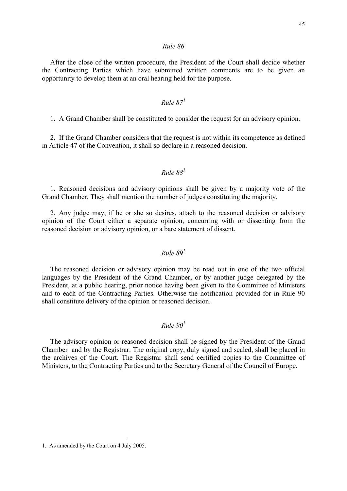#### *Rule 86*

After the close of the written procedure, the President of the Court shall decide whether the Contracting Parties which have submitted written comments are to be given an opportunity to develop them at an oral hearing held for the purpose.

# *Rule 87[1](#page-54-0)*

1. A Grand Chamber shall be constituted to consider the request for an advisory opinion.

2. If the Grand Chamber considers that the request is not within its competence as defined in Article 47 of the Convention, it shall so declare in a reasoned decision.

# *Rule 88<sup>1</sup>*

1. Reasoned decisions and advisory opinions shall be given by a majority vote of the Grand Chamber. They shall mention the number of judges constituting the majority.

2. Any judge may, if he or she so desires, attach to the reasoned decision or advisory opinion of the Court either a separate opinion, concurring with or dissenting from the reasoned decision or advisory opinion, or a bare statement of dissent.

# $Rule 89<sup>1</sup>$

The reasoned decision or advisory opinion may be read out in one of the two official languages by the President of the Grand Chamber, or by another judge delegated by the President, at a public hearing, prior notice having been given to the Committee of Ministers and to each of the Contracting Parties. Otherwise the notification provided for in Rule 90 shall constitute delivery of the opinion or reasoned decision.

# $Rule 90<sup>1</sup>$

The advisory opinion or reasoned decision shall be signed by the President of the Grand Chamber and by the Registrar. The original copy, duly signed and sealed, shall be placed in the archives of the Court. The Registrar shall send certified copies to the Committee of Ministers, to the Contracting Parties and to the Secretary General of the Council of Europe.

<span id="page-54-0"></span><sup>1.</sup> As amended by the Court on 4 July 2005.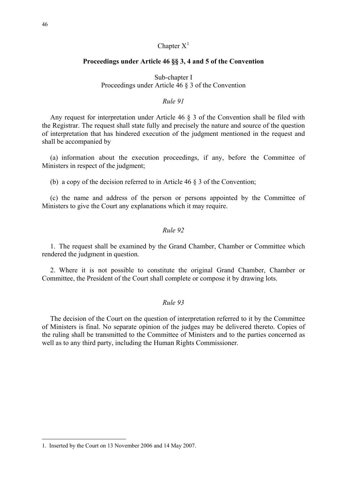# Chapter  $X<sup>1</sup>$  $X<sup>1</sup>$  $X<sup>1</sup>$

### **Proceedings under Article 46 §§ 3, 4 and 5 of the Convention**

### Sub-chapter I Proceedings under Article 46 § 3 of the Convention

### *Rule 91*

Any request for interpretation under Article 46 § 3 of the Convention shall be filed with the Registrar. The request shall state fully and precisely the nature and source of the question of interpretation that has hindered execution of the judgment mentioned in the request and shall be accompanied by

(a) information about the execution proceedings, if any, before the Committee of Ministers in respect of the judgment;

(b) a copy of the decision referred to in Article 46 § 3 of the Convention;

(c) the name and address of the person or persons appointed by the Committee of Ministers to give the Court any explanations which it may require.

## *Rule 92*

1. The request shall be examined by the Grand Chamber, Chamber or Committee which rendered the judgment in question.

2. Where it is not possible to constitute the original Grand Chamber, Chamber or Committee, the President of the Court shall complete or compose it by drawing lots.

#### *Rule 93*

The decision of the Court on the question of interpretation referred to it by the Committee of Ministers is final. No separate opinion of the judges may be delivered thereto. Copies of the ruling shall be transmitted to the Committee of Ministers and to the parties concerned as well as to any third party, including the Human Rights Commissioner.

<span id="page-55-0"></span><sup>1.</sup> Inserted by the Court on 13 November 2006 and 14 May 2007.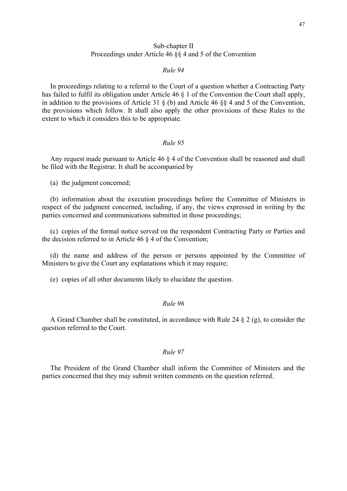### Sub-chapter II Proceedings under Article 46 §§ 4 and 5 of the Convention

### *Rule 94*

In proceedings relating to a referral to the Court of a question whether a Contracting Party has failed to fulfil its obligation under Article 46 § 1 of the Convention the Court shall apply, in addition to the provisions of Article 31 § (b) and Article 46 §§ 4 and 5 of the Convention, the provisions which follow. It shall also apply the other provisions of these Rules to the extent to which it considers this to be appropriate.

## *Rule 95*

Any request made pursuant to Article 46 § 4 of the Convention shall be reasoned and shall be filed with the Registrar. It shall be accompanied by

(a) the judgment concerned;

(b) information about the execution proceedings before the Committee of Ministers in respect of the judgment concerned, including, if any, the views expressed in writing by the parties concerned and communications submitted in those proceedings;

(c) copies of the formal notice served on the respondent Contracting Party or Parties and the decision referred to in Article 46 § 4 of the Convention;

(d) the name and address of the person or persons appointed by the Committee of Ministers to give the Court any explanations which it may require;

(e) copies of all other documents likely to elucidate the question.

## *Rule 96*

A Grand Chamber shall be constituted, in accordance with Rule 24 § 2 (g), to consider the question referred to the Court.

### *Rule 97*

The President of the Grand Chamber shall inform the Committee of Ministers and the parties concerned that they may submit written comments on the question referred.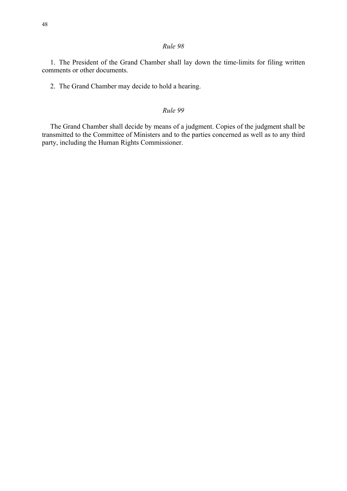## *Rule 98*

1. The President of the Grand Chamber shall lay down the time-limits for filing written comments or other documents.

2. The Grand Chamber may decide to hold a hearing.

## *Rule 99*

The Grand Chamber shall decide by means of a judgment. Copies of the judgment shall be transmitted to the Committee of Ministers and to the parties concerned as well as to any third party, including the Human Rights Commissioner.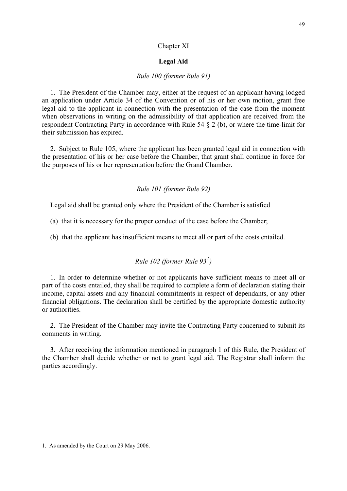#### Chapter XI

### **Legal Aid**

#### *Rule 100 (former Rule 91)*

1. The President of the Chamber may, either at the request of an applicant having lodged an application under Article 34 of the Convention or of his or her own motion, grant free legal aid to the applicant in connection with the presentation of the case from the moment when observations in writing on the admissibility of that application are received from the respondent Contracting Party in accordance with Rule 54 § 2 (b), or where the time-limit for their submission has expired.

2. Subject to Rule 105, where the applicant has been granted legal aid in connection with the presentation of his or her case before the Chamber, that grant shall continue in force for the purposes of his or her representation before the Grand Chamber.

## *Rule 101 (former Rule 92)*

Legal aid shall be granted only where the President of the Chamber is satisfied

- (a) that it is necessary for the proper conduct of the case before the Chamber;
- (b) that the applicant has insufficient means to meet all or part of the costs entailed.

# *Rule 102 (former Rule 93[1](#page-58-0) )*

1. In order to determine whether or not applicants have sufficient means to meet all or part of the costs entailed, they shall be required to complete a form of declaration stating their income, capital assets and any financial commitments in respect of dependants, or any other financial obligations. The declaration shall be certified by the appropriate domestic authority or authorities.

2. The President of the Chamber may invite the Contracting Party concerned to submit its comments in writing.

3. After receiving the information mentioned in paragraph 1 of this Rule, the President of the Chamber shall decide whether or not to grant legal aid. The Registrar shall inform the parties accordingly.

<span id="page-58-0"></span><sup>1.</sup> As amended by the Court on 29 May 2006.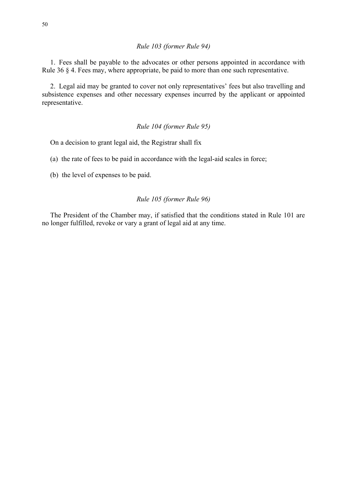#### *Rule 103 (former Rule 94)*

1. Fees shall be payable to the advocates or other persons appointed in accordance with Rule 36 § 4. Fees may, where appropriate, be paid to more than one such representative.

2. Legal aid may be granted to cover not only representatives' fees but also travelling and subsistence expenses and other necessary expenses incurred by the applicant or appointed representative.

#### *Rule 104 (former Rule 95)*

On a decision to grant legal aid, the Registrar shall fix

(a) the rate of fees to be paid in accordance with the legal-aid scales in force;

(b) the level of expenses to be paid.

## *Rule 105 (former Rule 96)*

The President of the Chamber may, if satisfied that the conditions stated in Rule 101 are no longer fulfilled, revoke or vary a grant of legal aid at any time.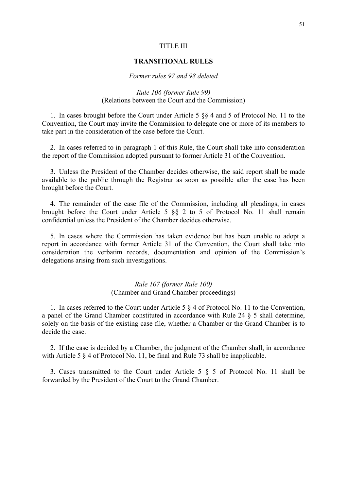#### TITLE III

### **TRANSITIONAL RULES**

#### *Former rules 97 and 98 deleted*

## *Rule 106 (former Rule 99)*  (Relations between the Court and the Commission)

1. In cases brought before the Court under Article 5 §§ 4 and 5 of Protocol No. 11 to the Convention, the Court may invite the Commission to delegate one or more of its members to take part in the consideration of the case before the Court.

2. In cases referred to in paragraph 1 of this Rule, the Court shall take into consideration the report of the Commission adopted pursuant to former Article 31 of the Convention.

3. Unless the President of the Chamber decides otherwise, the said report shall be made available to the public through the Registrar as soon as possible after the case has been brought before the Court.

4. The remainder of the case file of the Commission, including all pleadings, in cases brought before the Court under Article 5 §§ 2 to 5 of Protocol No. 11 shall remain confidential unless the President of the Chamber decides otherwise.

5. In cases where the Commission has taken evidence but has been unable to adopt a report in accordance with former Article 31 of the Convention, the Court shall take into consideration the verbatim records, documentation and opinion of the Commission's delegations arising from such investigations.

### *Rule 107 (former Rule 100)*  (Chamber and Grand Chamber proceedings)

1. In cases referred to the Court under Article 5 § 4 of Protocol No. 11 to the Convention, a panel of the Grand Chamber constituted in accordance with Rule 24 § 5 shall determine, solely on the basis of the existing case file, whether a Chamber or the Grand Chamber is to decide the case.

2. If the case is decided by a Chamber, the judgment of the Chamber shall, in accordance with Article 5  $\S$  4 of Protocol No. 11, be final and Rule 73 shall be inapplicable.

3. Cases transmitted to the Court under Article 5 § 5 of Protocol No. 11 shall be forwarded by the President of the Court to the Grand Chamber.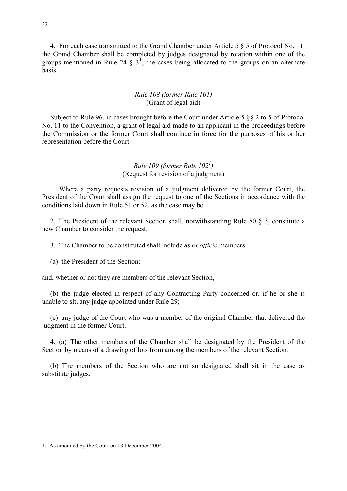4. For each case transmitted to the Grand Chamber under Article 5 § 5 of Protocol No. 11, the Grand Chamber shall be completed by judges designated by rotation within one of the groups mentioned in Rule 24  $\S 3^1$  $\S 3^1$ , the cases being allocated to the groups on an alternate basis.

## *Rule 108 (former Rule 101)*  (Grant of legal aid)

Subject to Rule 96, in cases brought before the Court under Article 5 §§ 2 to 5 of Protocol No. 11 to the Convention, a grant of legal aid made to an applicant in the proceedings before the Commission or the former Court shall continue in force for the purposes of his or her representation before the Court.

# *Rule 109 (former Rule 1021 )*  (Request for revision of a judgment)

1. Where a party requests revision of a judgment delivered by the former Court, the President of the Court shall assign the request to one of the Sections in accordance with the conditions laid down in Rule 51 or 52, as the case may be.

2. The President of the relevant Section shall, notwithstanding Rule 80 § 3, constitute a new Chamber to consider the request.

3. The Chamber to be constituted shall include as *ex officio* members

(a) the President of the Section;

and, whether or not they are members of the relevant Section,

(b) the judge elected in respect of any Contracting Party concerned or, if he or she is unable to sit, any judge appointed under Rule 29;

(c) any judge of the Court who was a member of the original Chamber that delivered the judgment in the former Court.

4. (a) The other members of the Chamber shall be designated by the President of the Section by means of a drawing of lots from among the members of the relevant Section.

(b) The members of the Section who are not so designated shall sit in the case as substitute judges.

<span id="page-61-0"></span><sup>1.</sup> As amended by the Court on 13 December 2004.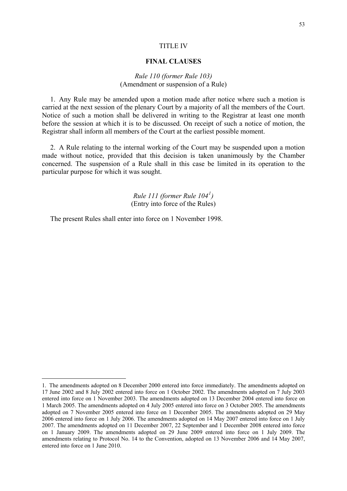#### TITLE IV

### **FINAL CLAUSES**

### *Rule 110 (former Rule 103)*  (Amendment or suspension of a Rule)

1. Any Rule may be amended upon a motion made after notice where such a motion is carried at the next session of the plenary Court by a majority of all the members of the Court. Notice of such a motion shall be delivered in writing to the Registrar at least one month before the session at which it is to be discussed. On receipt of such a notice of motion, the Registrar shall inform all members of the Court at the earliest possible moment.

2. A Rule relating to the internal working of the Court may be suspended upon a motion made without notice, provided that this decision is taken unanimously by the Chamber concerned. The suspension of a Rule shall in this case be limited in its operation to the particular purpose for which it was sought.

# *Rule 111 (former Rule 104[1](#page-62-0) )*  (Entry into force of the Rules)

The present Rules shall enter into force on 1 November 1998.

<span id="page-62-0"></span><sup>1.</sup> The amendments adopted on 8 December 2000 entered into force immediately. The amendments adopted on 17 June 2002 and 8 July 2002 entered into force on 1 October 2002. The amendments adopted on 7 July 2003 entered into force on 1 November 2003. The amendments adopted on 13 December 2004 entered into force on 1 March 2005. The amendments adopted on 4 July 2005 entered into force on 3 October 2005. The amendments adopted on 7 November 2005 entered into force on 1 December 2005. The amendments adopted on 29 May 2006 entered into force on 1 July 2006. The amendments adopted on 14 May 2007 entered into force on 1 July 2007. The amendments adopted on 11 December 2007, 22 September and 1 December 2008 entered into force on 1 January 2009. The amendments adopted on 29 June 2009 entered into force on 1 July 2009. The amendments relating to Protocol No. 14 to the Convention, adopted on 13 November 2006 and 14 May 2007, entered into force on 1 June 2010.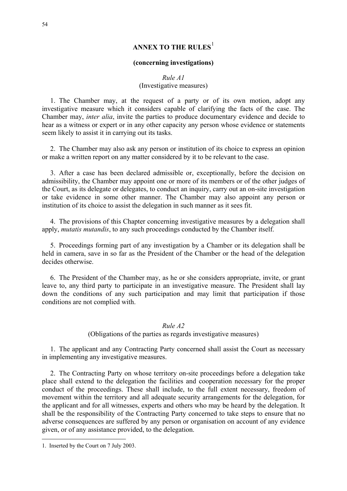## **ANNEX TO THE RULES**<sup>[1](#page-63-0)</sup>

#### **(concerning investigations)**

### *Rule A1*  (Investigative measures)

1. The Chamber may, at the request of a party or of its own motion, adopt any investigative measure which it considers capable of clarifying the facts of the case. The Chamber may, *inter alia*, invite the parties to produce documentary evidence and decide to hear as a witness or expert or in any other capacity any person whose evidence or statements seem likely to assist it in carrying out its tasks.

2. The Chamber may also ask any person or institution of its choice to express an opinion or make a written report on any matter considered by it to be relevant to the case.

3. After a case has been declared admissible or, exceptionally, before the decision on admissibility, the Chamber may appoint one or more of its members or of the other judges of the Court, as its delegate or delegates, to conduct an inquiry, carry out an on-site investigation or take evidence in some other manner. The Chamber may also appoint any person or institution of its choice to assist the delegation in such manner as it sees fit.

4. The provisions of this Chapter concerning investigative measures by a delegation shall apply, *mutatis mutandis*, to any such proceedings conducted by the Chamber itself.

5. Proceedings forming part of any investigation by a Chamber or its delegation shall be held in camera, save in so far as the President of the Chamber or the head of the delegation decides otherwise.

6. The President of the Chamber may, as he or she considers appropriate, invite, or grant leave to, any third party to participate in an investigative measure. The President shall lay down the conditions of any such participation and may limit that participation if those conditions are not complied with.

#### *Rule A2*

#### (Obligations of the parties as regards investigative measures)

1. The applicant and any Contracting Party concerned shall assist the Court as necessary in implementing any investigative measures.

2. The Contracting Party on whose territory on-site proceedings before a delegation take place shall extend to the delegation the facilities and cooperation necessary for the proper conduct of the proceedings. These shall include, to the full extent necessary, freedom of movement within the territory and all adequate security arrangements for the delegation, for the applicant and for all witnesses, experts and others who may be heard by the delegation. It shall be the responsibility of the Contracting Party concerned to take steps to ensure that no adverse consequences are suffered by any person or organisation on account of any evidence given, or of any assistance provided, to the delegation.

<span id="page-63-0"></span><sup>1.</sup> Inserted by the Court on 7 July 2003.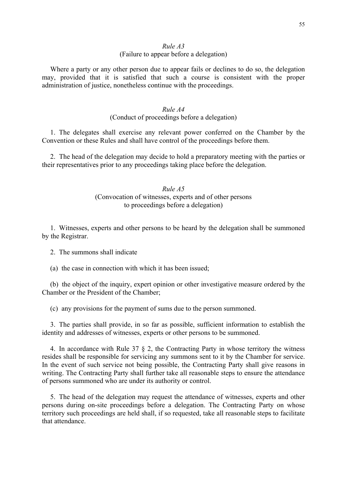# *Rule A3*

# (Failure to appear before a delegation)

Where a party or any other person due to appear fails or declines to do so, the delegation may, provided that it is satisfied that such a course is consistent with the proper administration of justice, nonetheless continue with the proceedings.

### *Rule A4*

#### (Conduct of proceedings before a delegation)

1. The delegates shall exercise any relevant power conferred on the Chamber by the Convention or these Rules and shall have control of the proceedings before them.

2. The head of the delegation may decide to hold a preparatory meeting with the parties or their representatives prior to any proceedings taking place before the delegation.

## *Rule A5*  (Convocation of witnesses, experts and of other persons to proceedings before a delegation)

1. Witnesses, experts and other persons to be heard by the delegation shall be summoned by the Registrar.

2. The summons shall indicate

(a) the case in connection with which it has been issued;

(b) the object of the inquiry, expert opinion or other investigative measure ordered by the Chamber or the President of the Chamber;

(c) any provisions for the payment of sums due to the person summoned.

3. The parties shall provide, in so far as possible, sufficient information to establish the identity and addresses of witnesses, experts or other persons to be summoned.

4. In accordance with Rule 37 § 2, the Contracting Party in whose territory the witness resides shall be responsible for servicing any summons sent to it by the Chamber for service. In the event of such service not being possible, the Contracting Party shall give reasons in writing. The Contracting Party shall further take all reasonable steps to ensure the attendance of persons summoned who are under its authority or control.

5. The head of the delegation may request the attendance of witnesses, experts and other persons during on-site proceedings before a delegation. The Contracting Party on whose territory such proceedings are held shall, if so requested, take all reasonable steps to facilitate that attendance.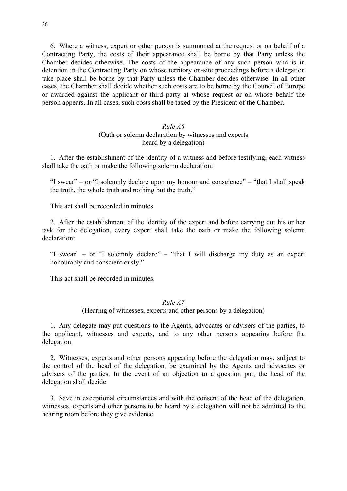6. Where a witness, expert or other person is summoned at the request or on behalf of a Contracting Party, the costs of their appearance shall be borne by that Party unless the Chamber decides otherwise. The costs of the appearance of any such person who is in detention in the Contracting Party on whose territory on-site proceedings before a delegation take place shall be borne by that Party unless the Chamber decides otherwise. In all other cases, the Chamber shall decide whether such costs are to be borne by the Council of Europe or awarded against the applicant or third party at whose request or on whose behalf the person appears. In all cases, such costs shall be taxed by the President of the Chamber.

## *Rule A6*  (Oath or solemn declaration by witnesses and experts heard by a delegation)

1. After the establishment of the identity of a witness and before testifying, each witness shall take the oath or make the following solemn declaration:

"I swear" – or "I solemnly declare upon my honour and conscience" – "that I shall speak the truth, the whole truth and nothing but the truth."

This act shall be recorded in minutes.

2. After the establishment of the identity of the expert and before carrying out his or her task for the delegation, every expert shall take the oath or make the following solemn declaration:

"I swear" – or "I solemnly declare" – "that I will discharge my duty as an expert honourably and conscientiously."

This act shall be recorded in minutes.

#### *Rule A7*

(Hearing of witnesses, experts and other persons by a delegation)

1. Any delegate may put questions to the Agents, advocates or advisers of the parties, to the applicant, witnesses and experts, and to any other persons appearing before the delegation.

2. Witnesses, experts and other persons appearing before the delegation may, subject to the control of the head of the delegation, be examined by the Agents and advocates or advisers of the parties. In the event of an objection to a question put, the head of the delegation shall decide.

3. Save in exceptional circumstances and with the consent of the head of the delegation, witnesses, experts and other persons to be heard by a delegation will not be admitted to the hearing room before they give evidence.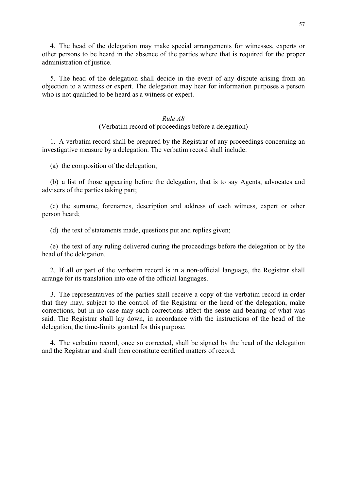4. The head of the delegation may make special arrangements for witnesses, experts or other persons to be heard in the absence of the parties where that is required for the proper administration of justice.

5. The head of the delegation shall decide in the event of any dispute arising from an objection to a witness or expert. The delegation may hear for information purposes a person who is not qualified to be heard as a witness or expert.

## *Rule A8*

# (Verbatim record of proceedings before a delegation)

1. A verbatim record shall be prepared by the Registrar of any proceedings concerning an investigative measure by a delegation. The verbatim record shall include:

(a) the composition of the delegation;

(b) a list of those appearing before the delegation, that is to say Agents, advocates and advisers of the parties taking part;

(c) the surname, forenames, description and address of each witness, expert or other person heard;

(d) the text of statements made, questions put and replies given;

(e) the text of any ruling delivered during the proceedings before the delegation or by the head of the delegation.

2. If all or part of the verbatim record is in a non-official language, the Registrar shall arrange for its translation into one of the official languages.

3. The representatives of the parties shall receive a copy of the verbatim record in order that they may, subject to the control of the Registrar or the head of the delegation, make corrections, but in no case may such corrections affect the sense and bearing of what was said. The Registrar shall lay down, in accordance with the instructions of the head of the delegation, the time-limits granted for this purpose.

4. The verbatim record, once so corrected, shall be signed by the head of the delegation and the Registrar and shall then constitute certified matters of record.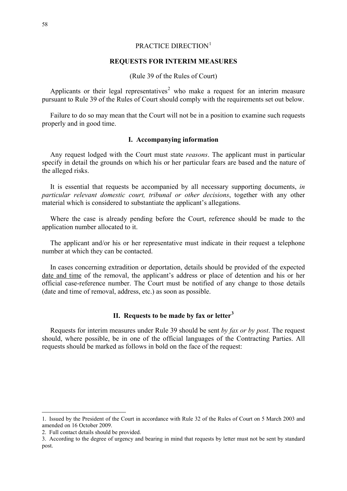# PRACTICE DIRECTION<sup>[1](#page-67-0)</sup>

#### **REQUESTS FOR INTERIM MEASURES**

(Rule 39 of the Rules of Court)

Applicants or their legal representatives<sup>[2](#page-67-1)</sup> who make a request for an interim measure pursuant to Rule 39 of the Rules of Court should comply with the requirements set out below.

Failure to do so may mean that the Court will not be in a position to examine such requests properly and in good time.

#### **I. Accompanying information**

Any request lodged with the Court must state *reasons*. The applicant must in particular specify in detail the grounds on which his or her particular fears are based and the nature of the alleged risks.

It is essential that requests be accompanied by all necessary supporting documents, *in particular relevant domestic court, tribunal or other decisions*, together with any other material which is considered to substantiate the applicant's allegations.

Where the case is already pending before the Court, reference should be made to the application number allocated to it.

The applicant and/or his or her representative must indicate in their request a telephone number at which they can be contacted.

In cases concerning extradition or deportation, details should be provided of the expected date and time of the removal, the applicant's address or place of detention and his or her official case-reference number. The Court must be notified of any change to those details (date and time of removal, address, etc.) as soon as possible.

#### **II. Requests to be made by fax or letter[3](#page-67-2)**

Requests for interim measures under Rule 39 should be sent *by fax or by post*. The request should, where possible, be in one of the official languages of the Contracting Parties. All requests should be marked as follows in bold on the face of the request:

<span id="page-67-0"></span><sup>1.</sup> Issued by the President of the Court in accordance with Rule 32 of the Rules of Court on 5 March 2003 and amended on 16 October 2009.

<span id="page-67-1"></span><sup>2.</sup> Full contact details should be provided.

<span id="page-67-2"></span><sup>3.</sup> According to the degree of urgency and bearing in mind that requests by letter must not be sent by standard post.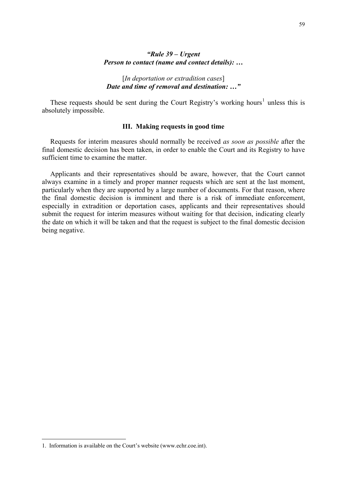## *"Rule 39 – Urgent Person to contact (name and contact details): …*

[*In deportation or extradition cases*] *Date and time of removal and destination: …"* 

These requests should be sent during the Court Registry's working hours<sup>[1](#page-68-0)</sup> unless this is absolutely impossible.

#### **III. Making requests in good time**

Requests for interim measures should normally be received *as soon as possible* after the final domestic decision has been taken, in order to enable the Court and its Registry to have sufficient time to examine the matter.

Applicants and their representatives should be aware, however, that the Court cannot always examine in a timely and proper manner requests which are sent at the last moment, particularly when they are supported by a large number of documents. For that reason, where the final domestic decision is imminent and there is a risk of immediate enforcement, especially in extradition or deportation cases, applicants and their representatives should submit the request for interim measures without waiting for that decision, indicating clearly the date on which it will be taken and that the request is subject to the final domestic decision being negative.

<span id="page-68-0"></span><sup>1.</sup> Information is available on the Court's website (www.echr.coe.int).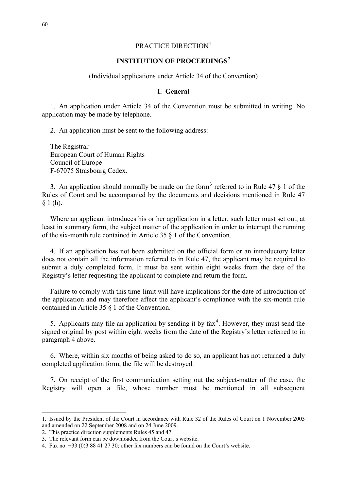# PRACTICE DIRECTION<sup>[1](#page-69-0)</sup>

## **INSTITUTION OF PROCEEDINGS<sup>[2](#page-69-1)</sup>**

#### (Individual applications under Article 34 of the Convention)

#### **I. General**

1. An application under Article 34 of the Convention must be submitted in writing. No application may be made by telephone.

2. An application must be sent to the following address:

The Registrar European Court of Human Rights Council of Europe F-67075 Strasbourg Cedex.

[3](#page-69-2). An application should normally be made on the form<sup>3</sup> referred to in Rule 47  $\S$  1 of the Rules of Court and be accompanied by the documents and decisions mentioned in Rule 47 § 1 (h).

Where an applicant introduces his or her application in a letter, such letter must set out, at least in summary form, the subject matter of the application in order to interrupt the running of the six-month rule contained in Article 35 § 1 of the Convention.

4. If an application has not been submitted on the official form or an introductory letter does not contain all the information referred to in Rule 47, the applicant may be required to submit a duly completed form. It must be sent within eight weeks from the date of the Registry's letter requesting the applicant to complete and return the form.

Failure to comply with this time-limit will have implications for the date of introduction of the application and may therefore affect the applicant's compliance with the six-month rule contained in Article 35 § 1 of the Convention.

5. Applicants may file an application by sending it by  $\text{far}^4$  $\text{far}^4$ . However, they must send the signed original by post within eight weeks from the date of the Registry's letter referred to in paragraph 4 above.

6. Where, within six months of being asked to do so, an applicant has not returned a duly completed application form, the file will be destroyed.

7. On receipt of the first communication setting out the subject-matter of the case, the Registry will open a file, whose number must be mentioned in all subsequent

<span id="page-69-0"></span><sup>1.</sup> Issued by the President of the Court in accordance with Rule 32 of the Rules of Court on 1 November 2003 and amended on 22 September 2008 and on 24 June 2009.

<span id="page-69-1"></span><sup>2.</sup> This practice direction supplements Rules 45 and 47.

<span id="page-69-2"></span><sup>3.</sup> The relevant form can be downloaded from the Court's website.

<span id="page-69-3"></span><sup>4.</sup> Fax no. +33 (0)3 88 41 27 30; other fax numbers can be found on the Court's website.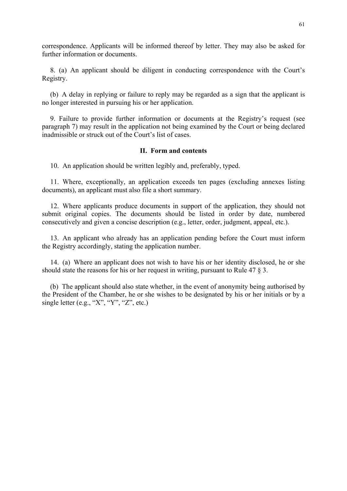correspondence. Applicants will be informed thereof by letter. They may also be asked for further information or documents.

8. (a) An applicant should be diligent in conducting correspondence with the Court's Registry.

(b) A delay in replying or failure to reply may be regarded as a sign that the applicant is no longer interested in pursuing his or her application.

9. Failure to provide further information or documents at the Registry's request (see paragraph 7) may result in the application not being examined by the Court or being declared inadmissible or struck out of the Court's list of cases.

#### **II. Form and contents**

10. An application should be written legibly and, preferably, typed.

11. Where, exceptionally, an application exceeds ten pages (excluding annexes listing documents), an applicant must also file a short summary.

12. Where applicants produce documents in support of the application, they should not submit original copies. The documents should be listed in order by date, numbered consecutively and given a concise description (e.g., letter, order, judgment, appeal, etc.).

13. An applicant who already has an application pending before the Court must inform the Registry accordingly, stating the application number.

14. (a) Where an applicant does not wish to have his or her identity disclosed, he or she should state the reasons for his or her request in writing, pursuant to Rule 47 § 3.

(b) The applicant should also state whether, in the event of anonymity being authorised by the President of the Chamber, he or she wishes to be designated by his or her initials or by a single letter (e.g., "X", "Y", "Z", etc.)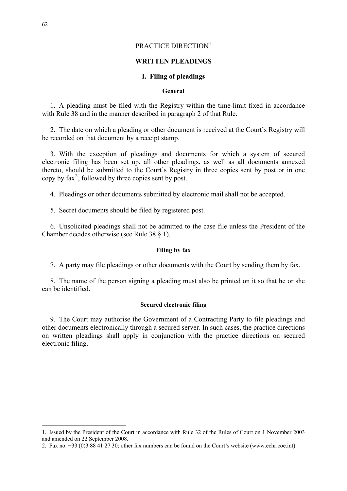### PRACTICE DIRECTION<sup>[1](#page-71-0)</sup>

# **WRITTEN PLEADINGS**

#### **I. Filing of pleadings**

#### **General**

1. A pleading must be filed with the Registry within the time-limit fixed in accordance with Rule 38 and in the manner described in paragraph 2 of that Rule.

2. The date on which a pleading or other document is received at the Court's Registry will be recorded on that document by a receipt stamp.

3. With the exception of pleadings and documents for which a system of secured electronic filing has been set up, all other pleadings, as well as all documents annexed thereto, should be submitted to the Court's Registry in three copies sent by post or in one copy by  $\text{far}^2$  $\text{far}^2$ , followed by three copies sent by post.

4. Pleadings or other documents submitted by electronic mail shall not be accepted.

5. Secret documents should be filed by registered post.

6. Unsolicited pleadings shall not be admitted to the case file unless the President of the Chamber decides otherwise (see Rule 38 § 1).

#### **Filing by fax**

7. A party may file pleadings or other documents with the Court by sending them by fax.

8. The name of the person signing a pleading must also be printed on it so that he or she can be identified.

#### **Secured electronic filing**

9. The Court may authorise the Government of a Contracting Party to file pleadings and other documents electronically through a secured server. In such cases, the practice directions on written pleadings shall apply in conjunction with the practice directions on secured electronic filing.

<span id="page-71-0"></span><sup>1.</sup> Issued by the President of the Court in accordance with Rule 32 of the Rules of Court on 1 November 2003 and amended on 22 September 2008.

<span id="page-71-1"></span><sup>2.</sup> Fax no. +33 (0)3 88 41 27 30; other fax numbers can be found on the Court's website (www.echr.coe.int).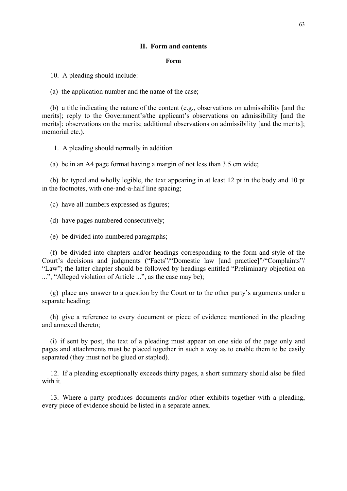## **Form**

10. A pleading should include:

(a) the application number and the name of the case;

(b) a title indicating the nature of the content (e.g., observations on admissibility [and the merits]; reply to the Government's/the applicant's observations on admissibility [and the merits]; observations on the merits; additional observations on admissibility [and the merits]; memorial etc.).

11. A pleading should normally in addition

(a) be in an A4 page format having a margin of not less than 3.5 cm wide;

(b) be typed and wholly legible, the text appearing in at least 12 pt in the body and 10 pt in the footnotes, with one-and-a-half line spacing;

- (c) have all numbers expressed as figures;
- (d) have pages numbered consecutively;
- (e) be divided into numbered paragraphs;

(f) be divided into chapters and/or headings corresponding to the form and style of the Court's decisions and judgments ("Facts"/"Domestic law [and practice]"/"Complaints"/ "Law"; the latter chapter should be followed by headings entitled "Preliminary objection on ...", "Alleged violation of Article ...", as the case may be);

(g) place any answer to a question by the Court or to the other party's arguments under a separate heading;

(h) give a reference to every document or piece of evidence mentioned in the pleading and annexed thereto;

(i) if sent by post, the text of a pleading must appear on one side of the page only and pages and attachments must be placed together in such a way as to enable them to be easily separated (they must not be glued or stapled).

12. If a pleading exceptionally exceeds thirty pages, a short summary should also be filed with it.

13. Where a party produces documents and/or other exhibits together with a pleading, every piece of evidence should be listed in a separate annex.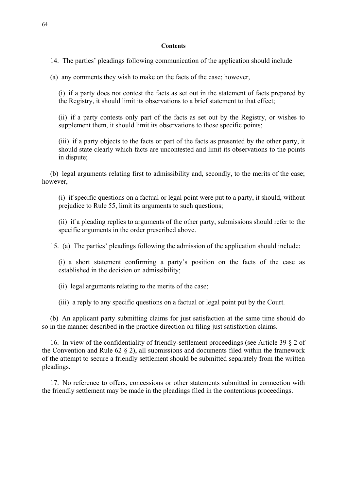### **Contents**

14. The parties' pleadings following communication of the application should include

(a) any comments they wish to make on the facts of the case; however,

(i) if a party does not contest the facts as set out in the statement of facts prepared by the Registry, it should limit its observations to a brief statement to that effect;

(ii) if a party contests only part of the facts as set out by the Registry, or wishes to supplement them, it should limit its observations to those specific points;

(iii) if a party objects to the facts or part of the facts as presented by the other party, it should state clearly which facts are uncontested and limit its observations to the points in dispute;

(b) legal arguments relating first to admissibility and, secondly, to the merits of the case; however,

(i) if specific questions on a factual or legal point were put to a party, it should, without prejudice to Rule 55, limit its arguments to such questions;

(ii) if a pleading replies to arguments of the other party, submissions should refer to the specific arguments in the order prescribed above.

15. (a) The parties' pleadings following the admission of the application should include:

(i) a short statement confirming a party's position on the facts of the case as established in the decision on admissibility;

(ii) legal arguments relating to the merits of the case;

(iii) a reply to any specific questions on a factual or legal point put by the Court.

(b) An applicant party submitting claims for just satisfaction at the same time should do so in the manner described in the practice direction on filing just satisfaction claims.

16. In view of the confidentiality of friendly-settlement proceedings (see Article 39 § 2 of the Convention and Rule 62 § 2), all submissions and documents filed within the framework of the attempt to secure a friendly settlement should be submitted separately from the written pleadings.

17. No reference to offers, concessions or other statements submitted in connection with the friendly settlement may be made in the pleadings filed in the contentious proceedings.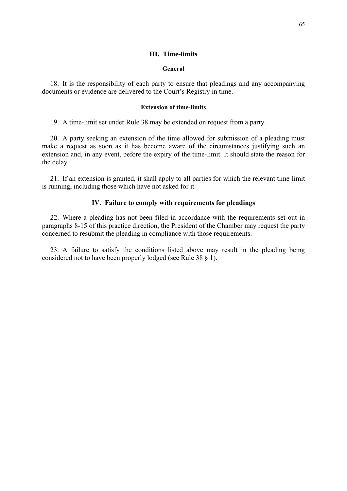## **III. Time-limits**

### **General**

18. It is the responsibility of each party to ensure that pleadings and any accompanying documents or evidence are delivered to the Court's Registry in time.

# **Extension of time-limits**

19. A time-limit set under Rule 38 may be extended on request from a party.

20. A party seeking an extension of the time allowed for submission of a pleading must make a request as soon as it has become aware of the circumstances justifying such an extension and, in any event, before the expiry of the time-limit. It should state the reason for the delay.

21. If an extension is granted, it shall apply to all parties for which the relevant time-limit is running, including those which have not asked for it.

## **IV. Failure to comply with requirements for pleadings**

22. Where a pleading has not been filed in accordance with the requirements set out in paragraphs 8-15 of this practice direction, the President of the Chamber may request the party concerned to resubmit the pleading in compliance with those requirements.

23. A failure to satisfy the conditions listed above may result in the pleading being considered not to have been properly lodged (see Rule 38 § 1).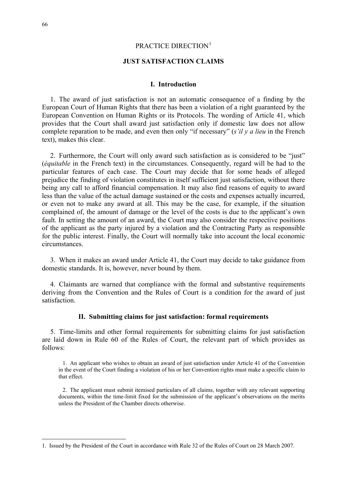# PRACTICE DIRECTION<sup>[1](#page-75-0)</sup>

# **JUST SATISFACTION CLAIMS**

### **I. Introduction**

1. The award of just satisfaction is not an automatic consequence of a finding by the European Court of Human Rights that there has been a violation of a right guaranteed by the European Convention on Human Rights or its Protocols. The wording of Article 41, which provides that the Court shall award just satisfaction only if domestic law does not allow complete reparation to be made, and even then only "if necessary" (*s'il y a lieu* in the French text), makes this clear.

2. Furthermore, the Court will only award such satisfaction as is considered to be "just" (*équitable* in the French text) in the circumstances. Consequently, regard will be had to the particular features of each case. The Court may decide that for some heads of alleged prejudice the finding of violation constitutes in itself sufficient just satisfaction, without there being any call to afford financial compensation. It may also find reasons of equity to award less than the value of the actual damage sustained or the costs and expenses actually incurred, or even not to make any award at all. This may be the case, for example, if the situation complained of, the amount of damage or the level of the costs is due to the applicant's own fault. In setting the amount of an award, the Court may also consider the respective positions of the applicant as the party injured by a violation and the Contracting Party as responsible for the public interest. Finally, the Court will normally take into account the local economic circumstances.

3. When it makes an award under Article 41, the Court may decide to take guidance from domestic standards. It is, however, never bound by them.

4. Claimants are warned that compliance with the formal and substantive requirements deriving from the Convention and the Rules of Court is a condition for the award of just satisfaction.

# **II. Submitting claims for just satisfaction: formal requirements**

5. Time-limits and other formal requirements for submitting claims for just satisfaction are laid down in Rule 60 of the Rules of Court, the relevant part of which provides as follows:

1. An applicant who wishes to obtain an award of just satisfaction under Article 41 of the Convention in the event of the Court finding a violation of his or her Convention rights must make a specific claim to that effect.

2. The applicant must submit itemised particulars of all claims, together with any relevant supporting documents, within the time-limit fixed for the submission of the applicant's observations on the merits unless the President of the Chamber directs otherwise.

1

<span id="page-75-0"></span><sup>1.</sup> Issued by the President of the Court in accordance with Rule 32 of the Rules of Court on 28 March 2007.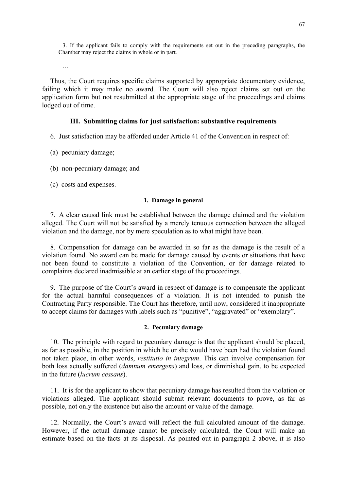3. If the applicant fails to comply with the requirements set out in the preceding paragraphs, the Chamber may reject the claims in whole or in part.

…

Thus, the Court requires specific claims supported by appropriate documentary evidence, failing which it may make no award. The Court will also reject claims set out on the application form but not resubmitted at the appropriate stage of the proceedings and claims lodged out of time.

### **III. Submitting claims for just satisfaction: substantive requirements**

6. Just satisfaction may be afforded under Article 41 of the Convention in respect of:

(a) pecuniary damage;

- (b) non-pecuniary damage; and
- (c) costs and expenses.

### **1. Damage in general**

7. A clear causal link must be established between the damage claimed and the violation alleged. The Court will not be satisfied by a merely tenuous connection between the alleged violation and the damage, nor by mere speculation as to what might have been.

8. Compensation for damage can be awarded in so far as the damage is the result of a violation found. No award can be made for damage caused by events or situations that have not been found to constitute a violation of the Convention, or for damage related to complaints declared inadmissible at an earlier stage of the proceedings.

9. The purpose of the Court's award in respect of damage is to compensate the applicant for the actual harmful consequences of a violation. It is not intended to punish the Contracting Party responsible. The Court has therefore, until now, considered it inappropriate to accept claims for damages with labels such as "punitive", "aggravated" or "exemplary".

### **2. Pecuniary damage**

10. The principle with regard to pecuniary damage is that the applicant should be placed, as far as possible, in the position in which he or she would have been had the violation found not taken place, in other words, *restitutio in integrum*. This can involve compensation for both loss actually suffered (*damnum emergens*) and loss, or diminished gain, to be expected in the future (*lucrum cessans*).

11. It is for the applicant to show that pecuniary damage has resulted from the violation or violations alleged. The applicant should submit relevant documents to prove, as far as possible, not only the existence but also the amount or value of the damage.

12. Normally, the Court's award will reflect the full calculated amount of the damage. However, if the actual damage cannot be precisely calculated, the Court will make an estimate based on the facts at its disposal. As pointed out in paragraph 2 above, it is also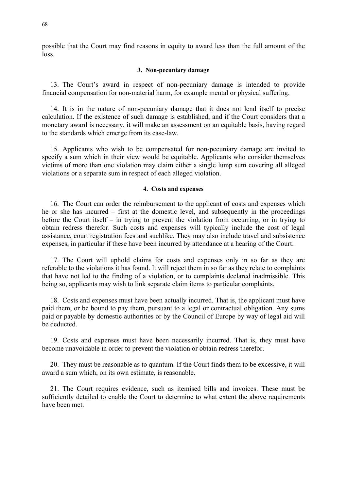possible that the Court may find reasons in equity to award less than the full amount of the loss.

## **3. Non-pecuniary damage**

13. The Court's award in respect of non-pecuniary damage is intended to provide financial compensation for non-material harm, for example mental or physical suffering.

14. It is in the nature of non-pecuniary damage that it does not lend itself to precise calculation. If the existence of such damage is established, and if the Court considers that a monetary award is necessary, it will make an assessment on an equitable basis, having regard to the standards which emerge from its case-law.

15. Applicants who wish to be compensated for non-pecuniary damage are invited to specify a sum which in their view would be equitable. Applicants who consider themselves victims of more than one violation may claim either a single lump sum covering all alleged violations or a separate sum in respect of each alleged violation.

## **4. Costs and expenses**

16. The Court can order the reimbursement to the applicant of costs and expenses which he or she has incurred – first at the domestic level, and subsequently in the proceedings before the Court itself – in trying to prevent the violation from occurring, or in trying to obtain redress therefor. Such costs and expenses will typically include the cost of legal assistance, court registration fees and suchlike. They may also include travel and subsistence expenses, in particular if these have been incurred by attendance at a hearing of the Court.

17. The Court will uphold claims for costs and expenses only in so far as they are referable to the violations it has found. It will reject them in so far as they relate to complaints that have not led to the finding of a violation, or to complaints declared inadmissible. This being so, applicants may wish to link separate claim items to particular complaints.

18. Costs and expenses must have been actually incurred. That is, the applicant must have paid them, or be bound to pay them, pursuant to a legal or contractual obligation. Any sums paid or payable by domestic authorities or by the Council of Europe by way of legal aid will be deducted.

19. Costs and expenses must have been necessarily incurred. That is, they must have become unavoidable in order to prevent the violation or obtain redress therefor.

20. They must be reasonable as to quantum. If the Court finds them to be excessive, it will award a sum which, on its own estimate, is reasonable.

21. The Court requires evidence, such as itemised bills and invoices. These must be sufficiently detailed to enable the Court to determine to what extent the above requirements have been met.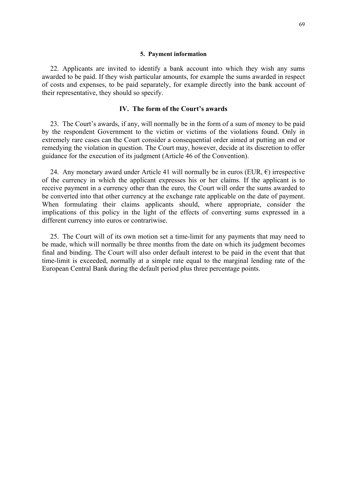#### **5. Payment information**

22. Applicants are invited to identify a bank account into which they wish any sums awarded to be paid. If they wish particular amounts, for example the sums awarded in respect of costs and expenses, to be paid separately, for example directly into the bank account of their representative, they should so specify.

# **IV. The form of the Court's awards**

23. The Court's awards, if any, will normally be in the form of a sum of money to be paid by the respondent Government to the victim or victims of the violations found. Only in extremely rare cases can the Court consider a consequential order aimed at putting an end or remedying the violation in question. The Court may, however, decide at its discretion to offer guidance for the execution of its judgment (Article 46 of the Convention).

24. Any monetary award under Article 41 will normally be in euros (EUR,  $\epsilon$ ) irrespective of the currency in which the applicant expresses his or her claims. If the applicant is to receive payment in a currency other than the euro, the Court will order the sums awarded to be converted into that other currency at the exchange rate applicable on the date of payment. When formulating their claims applicants should, where appropriate, consider the implications of this policy in the light of the effects of converting sums expressed in a different currency into euros or contrariwise.

25. The Court will of its own motion set a time-limit for any payments that may need to be made, which will normally be three months from the date on which its judgment becomes final and binding. The Court will also order default interest to be paid in the event that that time-limit is exceeded, normally at a simple rate equal to the marginal lending rate of the European Central Bank during the default period plus three percentage points.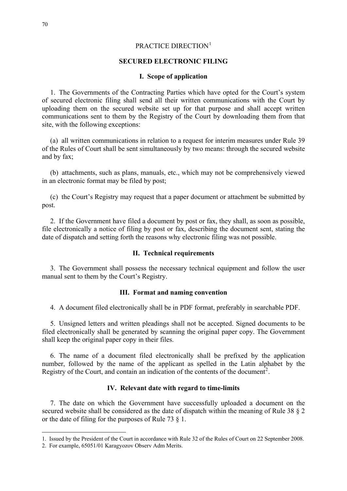# PRACTICE DIRECTION<sup>[1](#page-79-0)</sup>

# **SECURED ELECTRONIC FILING**

## **I. Scope of application**

1. The Governments of the Contracting Parties which have opted for the Court's system of secured electronic filing shall send all their written communications with the Court by uploading them on the secured website set up for that purpose and shall accept written communications sent to them by the Registry of the Court by downloading them from that site, with the following exceptions:

(a) all written communications in relation to a request for interim measures under Rule 39 of the Rules of Court shall be sent simultaneously by two means: through the secured website and by fax;

(b) attachments, such as plans, manuals, etc., which may not be comprehensively viewed in an electronic format may be filed by post;

(c) the Court's Registry may request that a paper document or attachment be submitted by post.

2. If the Government have filed a document by post or fax, they shall, as soon as possible, file electronically a notice of filing by post or fax, describing the document sent, stating the date of dispatch and setting forth the reasons why electronic filing was not possible.

### **II. Technical requirements**

3. The Government shall possess the necessary technical equipment and follow the user manual sent to them by the Court's Registry.

# **III. Format and naming convention**

4. A document filed electronically shall be in PDF format, preferably in searchable PDF.

5. Unsigned letters and written pleadings shall not be accepted. Signed documents to be filed electronically shall be generated by scanning the original paper copy. The Government shall keep the original paper copy in their files.

6. The name of a document filed electronically shall be prefixed by the application number, followed by the name of the applicant as spelled in the Latin alphabet by the Registry of the Court, and contain an indication of the contents of the document<sup>[2](#page-79-1)</sup>.

# **IV. Relevant date with regard to time-limits**

7. The date on which the Government have successfully uploaded a document on the secured website shall be considered as the date of dispatch within the meaning of Rule 38 § 2 or the date of filing for the purposes of Rule 73 § 1.

<u>.</u>

<span id="page-79-0"></span><sup>1.</sup> Issued by the President of the Court in accordance with Rule 32 of the Rules of Court on 22 September 2008.

<span id="page-79-1"></span><sup>2.</sup> For example, 65051/01 Karagyozov Observ Adm Merits.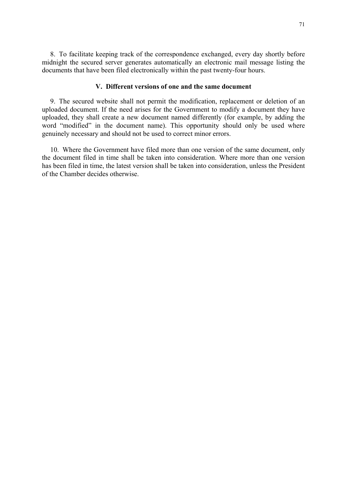8. To facilitate keeping track of the correspondence exchanged, every day shortly before midnight the secured server generates automatically an electronic mail message listing the documents that have been filed electronically within the past twenty-four hours.

# **V. Different versions of one and the same document**

9. The secured website shall not permit the modification, replacement or deletion of an uploaded document. If the need arises for the Government to modify a document they have uploaded, they shall create a new document named differently (for example, by adding the word "modified" in the document name). This opportunity should only be used where genuinely necessary and should not be used to correct minor errors.

10. Where the Government have filed more than one version of the same document, only the document filed in time shall be taken into consideration. Where more than one version has been filed in time, the latest version shall be taken into consideration, unless the President of the Chamber decides otherwise.